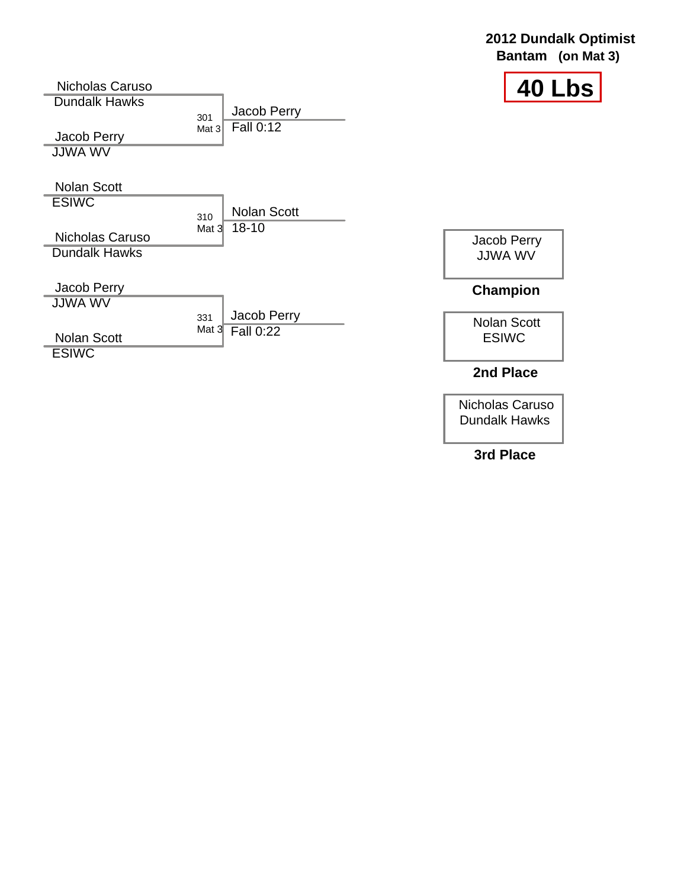### **2012 Dundalk Optimist Bantam (on Mat 3)**



Nicholas Caruso Dundalk Hawks  $\begin{array}{c} 301 \\ \text{Mat }3 \end{array}$ Jacob Perry JJWA WV Nolan Scott **ESIWC**  $310$  Mat  $3$ Nicholas Caruso Dundalk Hawks Jacob Perry JJWA WV 331 Nolan Scott **ESIWC** Jacob Perry Fall 0:12 Nolan Scott 18-10 Jacob Perry JJWA WV Nolan Scott ESIWC **Champion** Jacob Perry Mat  $3$  Fall  $0:22$ 

**2nd Place**

Nicholas Caruso Dundalk Hawks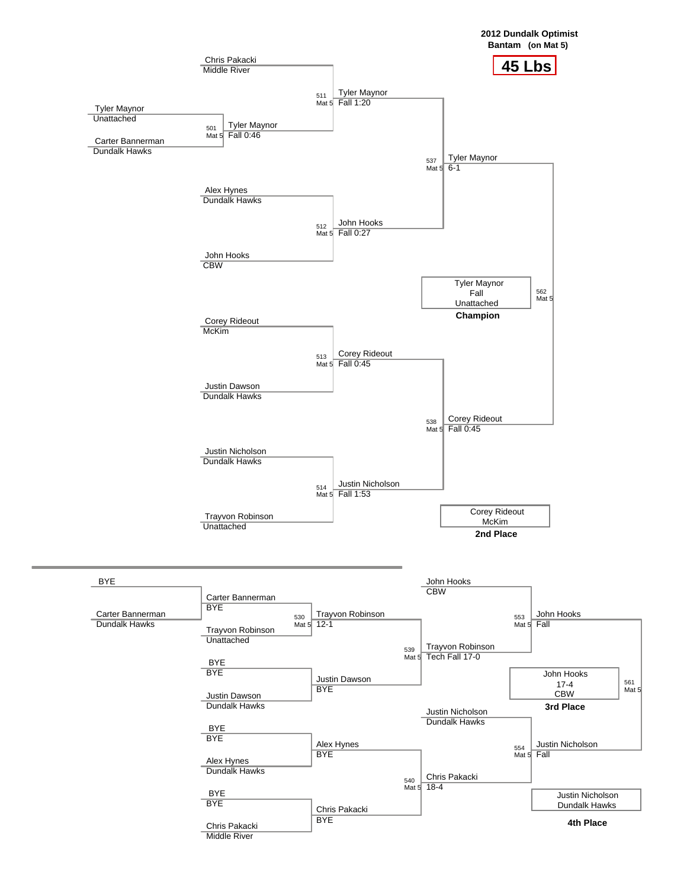



**4th Place**

Chris Pakacki Middle River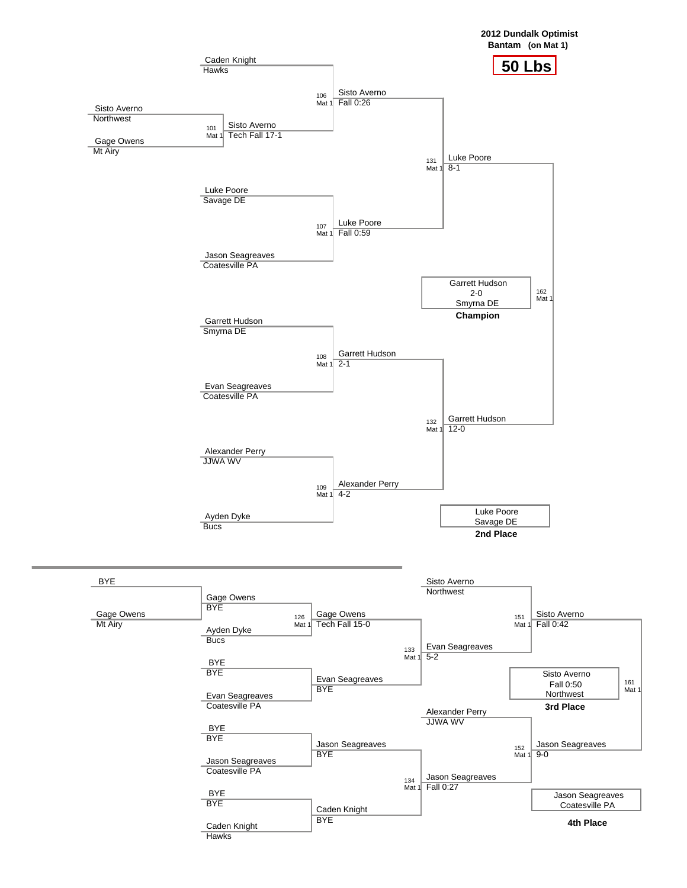



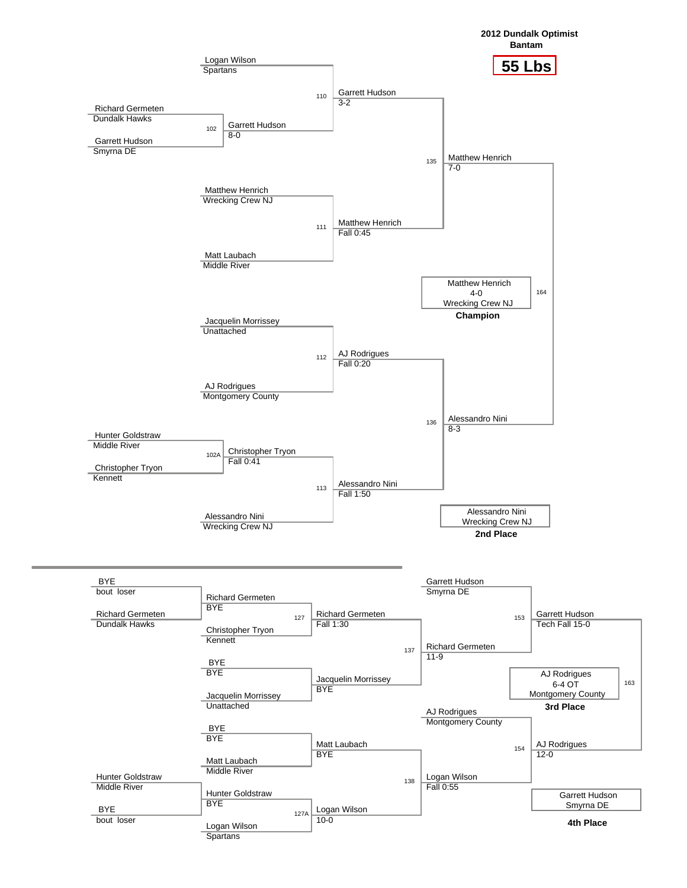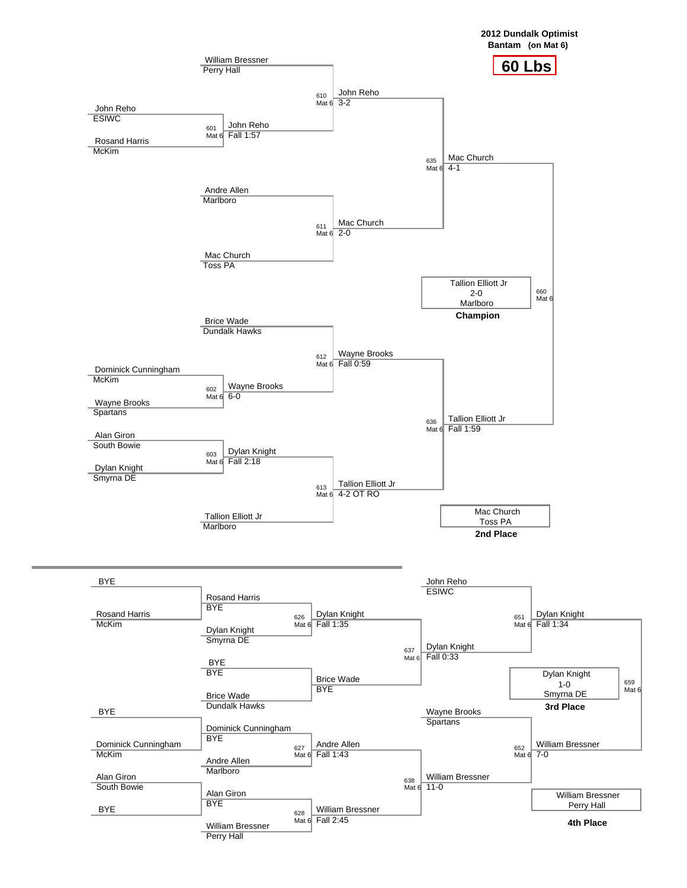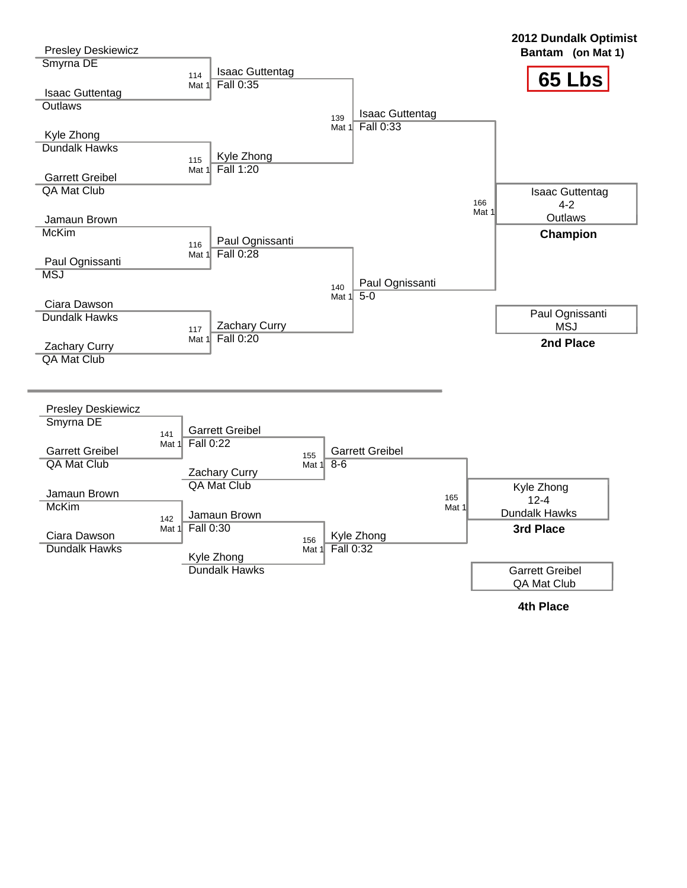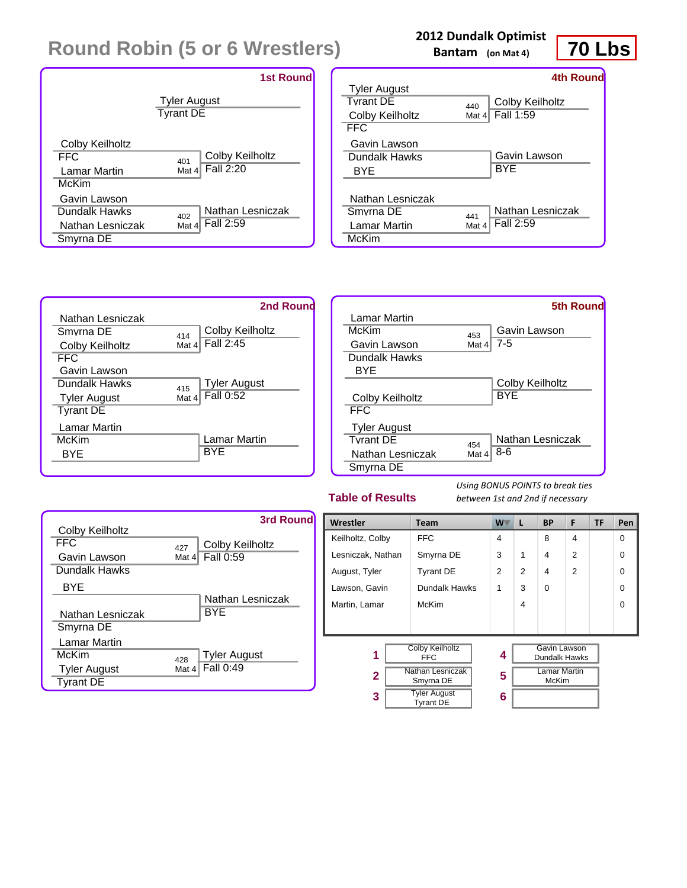|                  | <b>1st Round</b>                        |
|------------------|-----------------------------------------|
|                  | <b>Tyler August</b><br><b>Tyrant DE</b> |
| Colby Keilholtz  | Colby Keilholtz                         |
| <b>FFC</b>       | 401                                     |
| Lamar Martin     | Fall 2:20                               |
| McKim            | Mat 4                                   |
| Gavin Lawson     | Nathan Lesniczak                        |
| Dundalk Hawks    | 402                                     |
| Nathan Lesniczak | Fall 2:59                               |
| Smyrna DE        | Mat 4                                   |

### **2012 Dundalk Optimist**

**Bantam (on Mat 4)**



|                     |          | 4th Round        |
|---------------------|----------|------------------|
| <b>Tyler August</b> |          |                  |
| <b>Tyrant DE</b>    | 440      | Colby Keilholtz  |
| Colby Keilholtz     | Mat $41$ | Fall 1:59        |
| FFC.                |          |                  |
| Gavin Lawson        |          |                  |
| Dundalk Hawks       |          | Gavin Lawson     |
| BYE                 |          | BYE              |
|                     |          |                  |
| Nathan Lesniczak    |          |                  |
| Smyrna DE           | 441      | Nathan Lesniczak |
| Lamar Martin        | Mat 4    | Fall 2:59        |
| McKim               |          |                  |





### **Table of Results**



| Wrestler          | <b>Team</b>                             | <b>W</b>       | L              | <b>BP</b>                           | F              | <b>TF</b> | Pen      |
|-------------------|-----------------------------------------|----------------|----------------|-------------------------------------|----------------|-----------|----------|
| Keilholtz, Colby  | <b>FFC</b>                              | 4              |                | 8                                   | 4              |           | $\Omega$ |
| Lesniczak, Nathan | Smyrna DE                               | 3              | 1              | 4                                   | $\overline{2}$ |           | 0        |
| August, Tyler     | <b>Tyrant DE</b>                        | $\mathfrak{p}$ | $\mathfrak{p}$ | 4                                   | $\mathfrak{p}$ |           | $\Omega$ |
| Lawson, Gavin     | Dundalk Hawks                           | 1              | 3              | $\Omega$                            |                |           | $\Omega$ |
| Martin, Lamar     | McKim                                   |                | 4              |                                     |                |           | $\Omega$ |
|                   |                                         |                |                |                                     |                |           |          |
| 1                 | <b>Colby Keilholtz</b><br><b>FFC</b>    | 4              |                | Gavin Lawson<br>Dundalk Hawks       |                |           |          |
| $\mathbf{2}$      | <b>Nathan Lesniczak</b><br>Smyrna DE    |                |                | <b>Lamar Martin</b><br><b>McKim</b> |                |           |          |
| 3                 | <b>Tyler August</b><br><b>Tyrant DE</b> | 6              |                |                                     |                |           |          |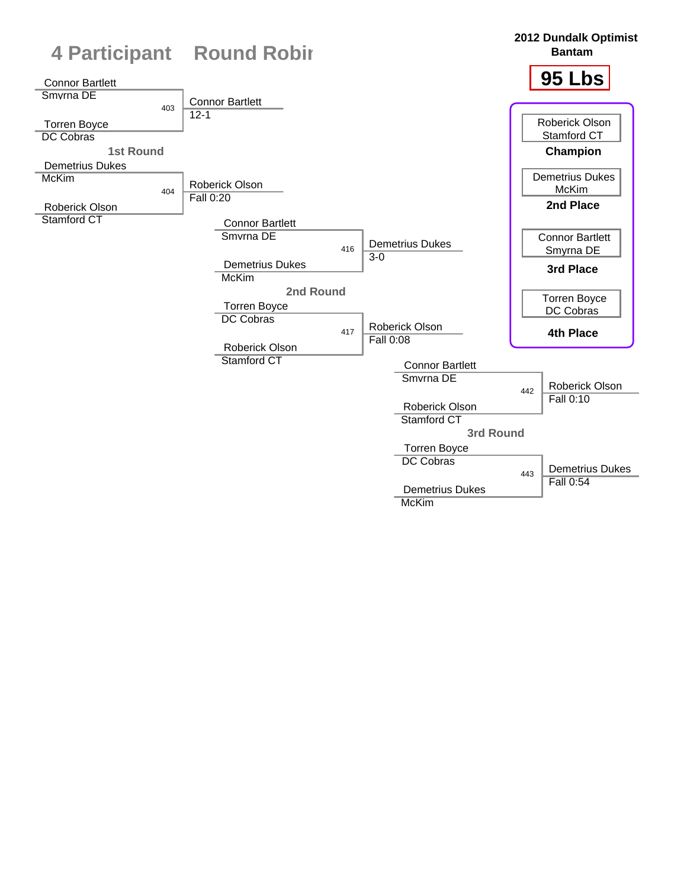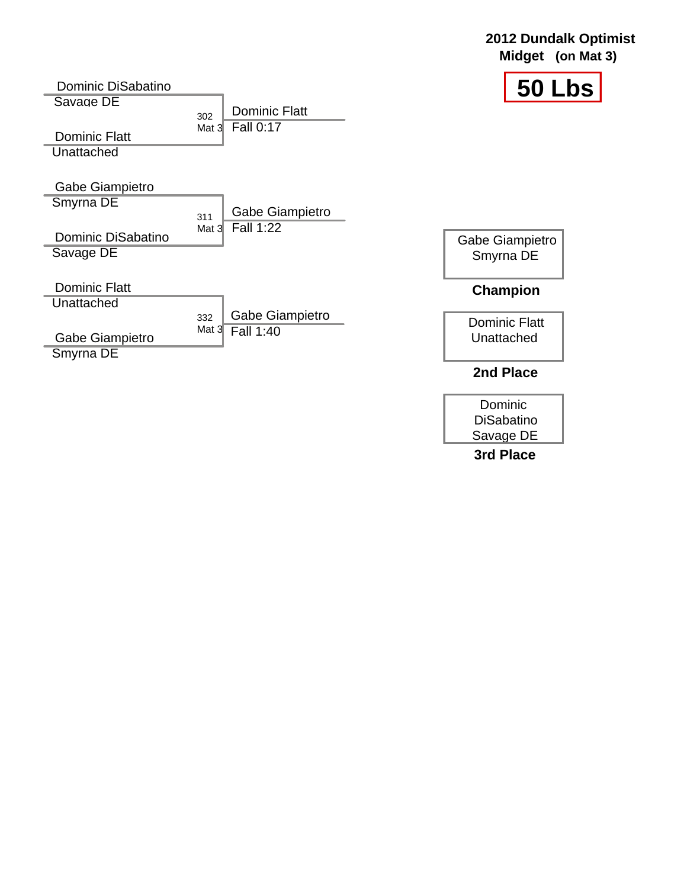| Dominic DiSabatino                 |                             | 50 Lbs               |
|------------------------------------|-----------------------------|----------------------|
| Savage DE                          | <b>Dominic Flatt</b>        |                      |
| <b>Dominic Flatt</b>               | 302<br>Fall 0:17<br>Mat $3$ |                      |
| Unattached                         |                             |                      |
| Gabe Giampietro                    |                             |                      |
| Smyrna DE                          | Gabe Giampietro<br>311      |                      |
| Dominic DiSabatino                 | <b>Fall 1:22</b><br>Mat $3$ | Gabe Giampietro      |
| Savage DE                          |                             | Smyrna DE            |
| <b>Dominic Flatt</b><br>Unattached |                             | <b>Champion</b>      |
|                                    | Gabe Giampietro<br>332      | <b>Dominic Flatt</b> |
| Gabe Giampietro                    | Mat $3$<br>Fall 1:40        | Unattached           |
| Smyrna DE                          |                             |                      |
|                                    |                             | 2nd Place            |

**2012 Dundalk Optimist Midget (on Mat 3)**

Dominic DiSabatino Savage DE **3rd Place**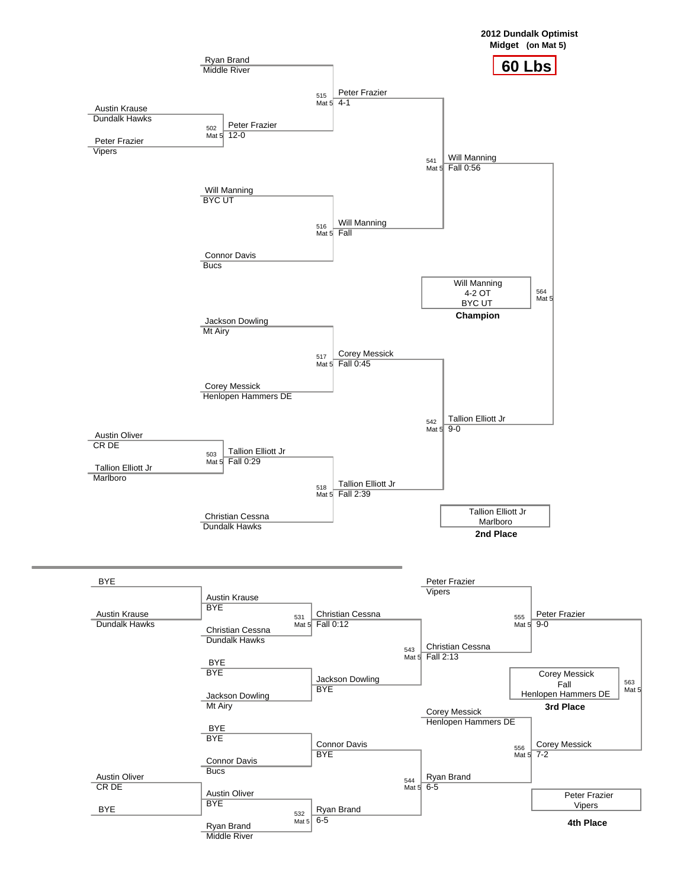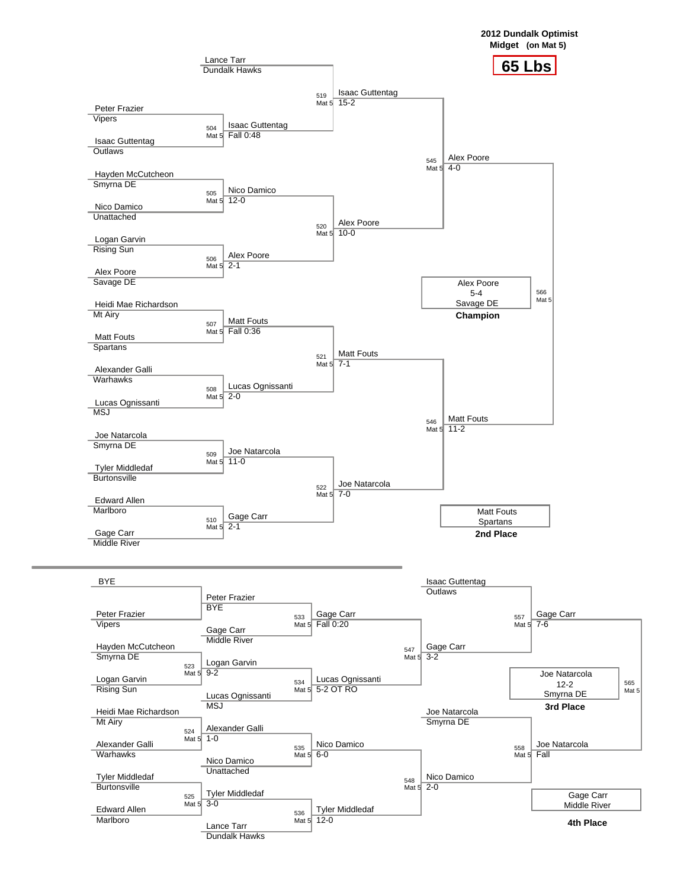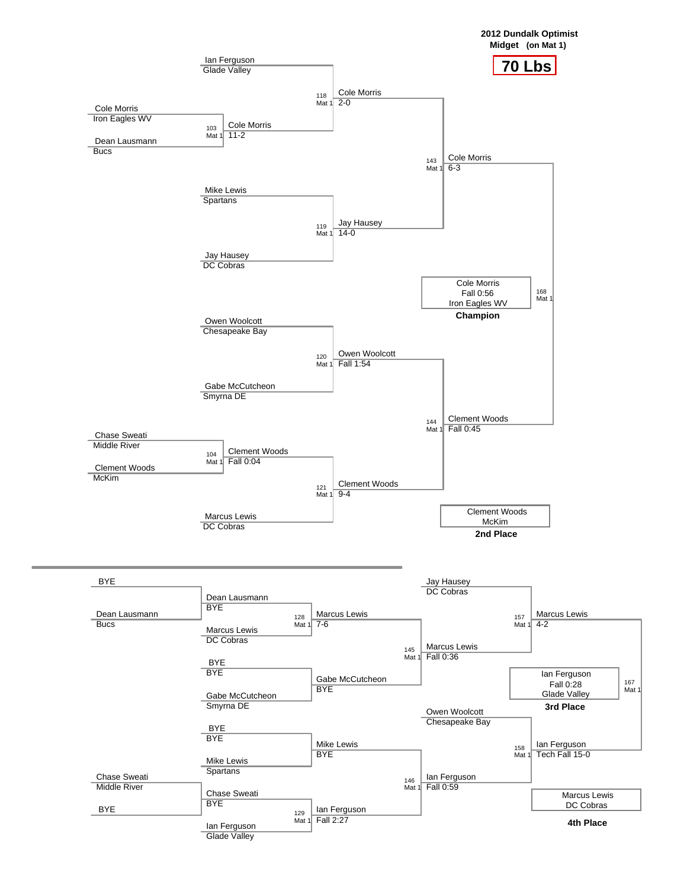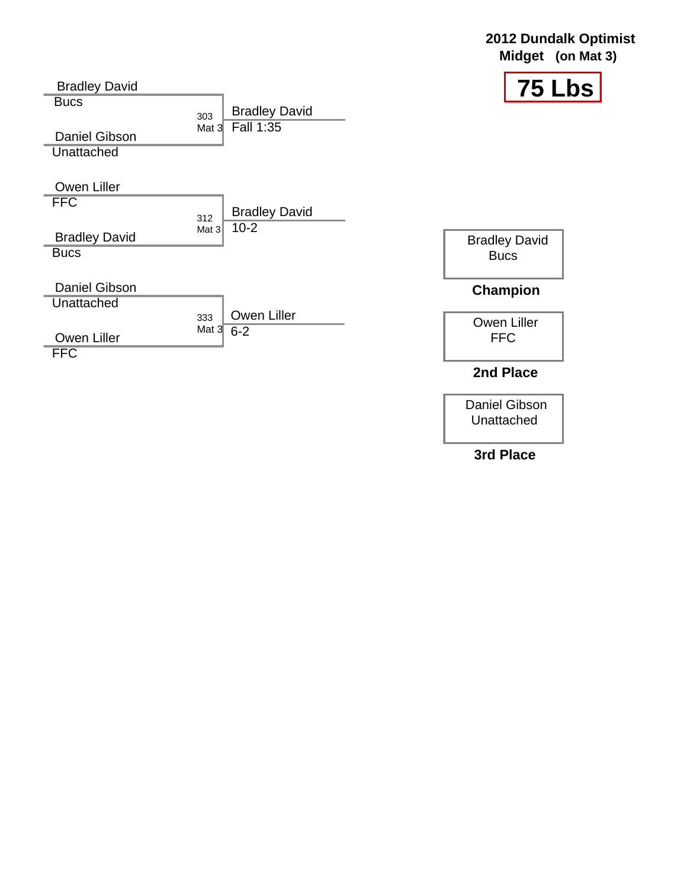| <b>Bradley David</b>                      |                                          | $\sqrt{75}$ Lbs           |
|-------------------------------------------|------------------------------------------|---------------------------|
| <b>Bucs</b>                               | <b>Bradley David</b><br>303<br>Fall 1:35 |                           |
| <b>Daniel Gibson</b><br><b>Unattached</b> | Mat $3$                                  |                           |
|                                           |                                          |                           |
| Owen Liller                               |                                          |                           |
| <b>FFC</b>                                | <b>Bradley David</b><br>312              |                           |
| <b>Bradley David</b>                      | $10 - 2$<br>Mat $3$                      | <b>Bradley David</b>      |
| <b>Bucs</b>                               |                                          | <b>Bucs</b>               |
| <b>Daniel Gibson</b>                      |                                          | <b>Champion</b>           |
| Unattached                                | Owen Liller<br>333                       |                           |
| Owen Liller<br><b>FFC</b>                 | Mat $3\overline{6} - 2$                  | Owen Liller<br><b>FFC</b> |
|                                           |                                          | 2nd Place                 |

Daniel Gibson Unattached

**2012 Dundalk Optimist Midget (on Mat 3)**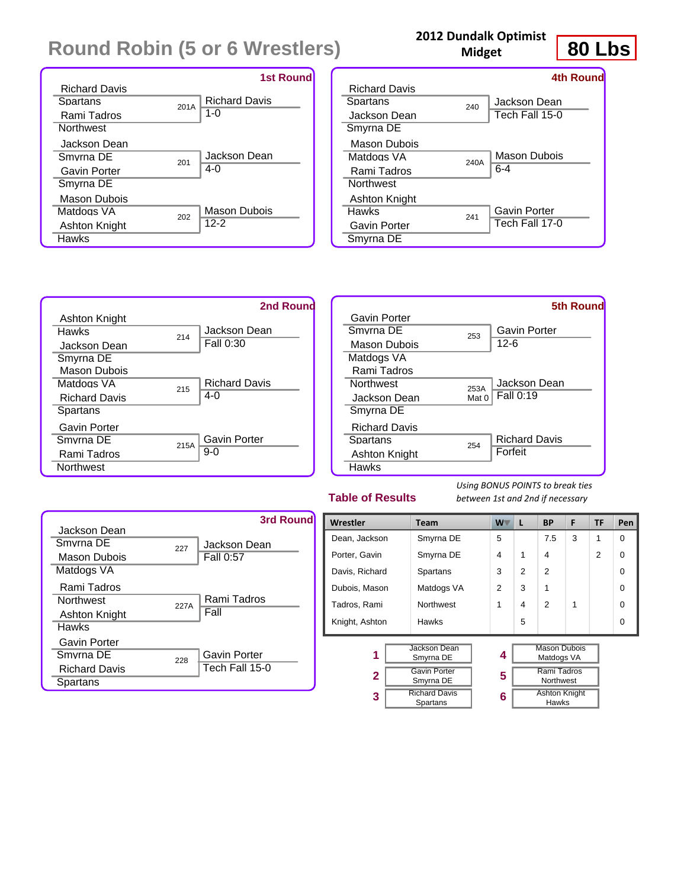|                      |      | <b>1st Round</b>     |
|----------------------|------|----------------------|
| <b>Richard Davis</b> |      |                      |
| Spartans             | 201A | <b>Richard Davis</b> |
| Rami Tadros          |      | $1 - 0$              |
| <b>Northwest</b>     |      |                      |
| Jackson Dean         |      |                      |
| Smyrna DF            | 201  | Jackson Dean         |
| Gavin Porter         |      | 4-0                  |
| Smyrna DE            |      |                      |
| Mason Dubois         |      |                      |
| Matdogs VA           | 202  | Mason Dubois         |
| Ashton Knight        |      | $12 - 2$             |
| Hawks                |      |                      |

## **2012 Dundalk Optimist**

**Midget**



|                      |      | 4th Round      |
|----------------------|------|----------------|
| <b>Richard Davis</b> |      |                |
| Spartans             | 240  | Jackson Dean   |
| Jackson Dean         |      | Tech Fall 15-0 |
| Smyrna DE            |      |                |
| Mason Dubois         |      |                |
| Matdogs VA           | 240A | Mason Dubois   |
| Rami Tadros          |      | $6 - 4$        |
| <b>Northwest</b>     |      |                |
| Ashton Knight        |      |                |
| <b>Hawks</b>         | 241  | Gavin Porter   |
| Gavin Porter         |      | Tech Fall 17-0 |
| Smyrna DE            |      |                |
|                      |      |                |



|                      |       | <b>5th Round</b>     |
|----------------------|-------|----------------------|
| Gavin Porter         |       |                      |
| Smyrna DE            | 253   | Gavin Porter         |
| Mason Dubois         |       | $12 - 6$             |
| Matdogs VA           |       |                      |
| Rami Tadros          |       |                      |
| <b>Northwest</b>     | 253A  | Jackson Dean         |
| Jackson Dean         | Mat 0 | Fall 0:19            |
| Smyrna DE            |       |                      |
| <b>Richard Davis</b> |       |                      |
| Spartans             | 254   | <b>Richard Davis</b> |
| Ashton Knight        |       | Forfeit              |
| <b>Hawks</b>         |       |                      |

### **Table of Results**



| Wrestler       | <b>Team</b>                      | W .            | L              | <b>BP</b>                         | F | <b>TF</b>     | Pen      |
|----------------|----------------------------------|----------------|----------------|-----------------------------------|---|---------------|----------|
| Dean, Jackson  | Smyrna DE                        | 5              |                | 7.5                               | 3 | 1             | 0        |
| Porter, Gavin  | Smyrna DE                        | 4              | 1              | 4                                 |   | $\mathcal{P}$ | 0        |
| Davis, Richard | Spartans                         | 3              | $\overline{2}$ | 2                                 |   |               | $\Omega$ |
| Dubois, Mason  | Matdogs VA                       | $\overline{2}$ | 3              |                                   |   |               | 0        |
| Tadros, Rami   | <b>Northwest</b>                 | 1              | 4              | $\mathfrak{p}$                    | 1 |               | 0        |
| Knight, Ashton | Hawks                            |                | 5              |                                   |   |               | $\Omega$ |
|                |                                  |                |                |                                   |   |               |          |
| 1              | Jackson Dean<br>Smyrna DE        | 4              |                | <b>Mason Dubois</b><br>Matdogs VA |   |               |          |
| 2              | <b>Gavin Porter</b><br>Smyrna DE | 5              |                | Rami Tadros<br>Northwest          |   |               |          |
| 3              | <b>Richard Davis</b><br>Spartans | 6              |                | <b>Ashton Knight</b><br>Hawks     |   |               |          |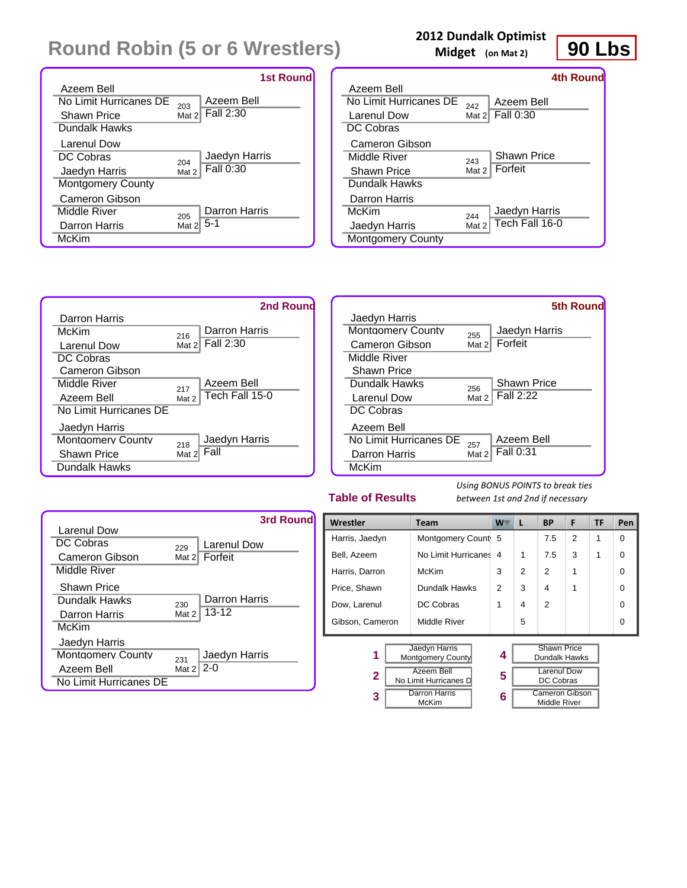|                          |          | <b>1st Round</b> |
|--------------------------|----------|------------------|
| Azeem Bell               |          |                  |
| No Limit Hurricanes DE   | 203      | Azeem Bell       |
| <b>Shawn Price</b>       | Mat $21$ | Fall 2:30        |
| Dundalk Hawks            |          |                  |
| Larenul Dow              |          |                  |
| DC Cobras                | 204      | Jaedyn Harris    |
| Jaedyn Harris            | Mat 2    | Fall 0:30        |
| <b>Montgomery County</b> |          |                  |
| Cameron Gibson           |          |                  |
| Middle River             | 205      | Darron Harris    |
| <b>Darron Harris</b>     | Mat 2    | $5-1$            |
| McKim                    |          |                  |

## **2012 Dundalk Optimist**

**Midget (on Mat 2)**



|                          |          | 4th Round          |
|--------------------------|----------|--------------------|
| Azeem Bell               |          |                    |
| No Limit Hurricanes DE   | 242      | Azeem Bell         |
| Larenul Dow              | Mat $21$ | Fall 0:30          |
| DC Cobras                |          |                    |
| Cameron Gibson           |          |                    |
| Middle River             | 243      | <b>Shawn Price</b> |
| Shawn Price              | Mat 2    | Forfeit            |
| Dundalk Hawks            |          |                    |
| Darron Harris            |          |                    |
| McKim                    | 244      | Jaedyn Harris      |
| Jaedyn Harris            | Mat 2    | Tech Fall 16-0     |
| <b>Montgomery County</b> |          |                    |



### **Table of Results**

|                          |          | 3rd Round     |
|--------------------------|----------|---------------|
| Larenul Dow              |          |               |
| DC Cobras                | 229      | Larenul Dow   |
| Cameron Gibson           | Mat $21$ | Forfeit       |
| Middle River             |          |               |
| <b>Shawn Price</b>       |          |               |
| Dundalk Hawks            | 230      | Darron Harris |
| Darron Harris            | Mat 2    | $13 - 12$     |
| McKim                    |          |               |
| Jaedyn Harris            |          |               |
| <b>Montgomery County</b> | 231      | Jaedyn Harris |
| Azeem Bell               | Mat 2    | $2-0$         |
| No Limit Hurricanes DE   |          |               |

| Wrestler                                 | W<br><b>Team</b>              |   | L | <b>BP</b>                             | F | <b>TF</b> | Pen |
|------------------------------------------|-------------------------------|---|---|---------------------------------------|---|-----------|-----|
| Harris, Jaedyn                           | Montgomery Count 5            |   |   | 7.5                                   | 2 | 1         | 0   |
| Bell, Azeem                              | No Limit Hurricanes           | 4 | 1 | 7.5                                   | 3 | 1         | 0   |
| Harris, Darron                           | McKim                         | 3 | 2 | $\mathfrak{p}$                        | 1 |           | 0   |
| Price, Shawn                             | Dundalk Hawks                 | 2 | 3 | 4                                     |   |           | 0   |
| Dow, Larenul                             | DC Cobras                     |   | 4 | $\mathcal{P}$                         |   |           | 0   |
| Middle River<br>Gibson, Cameron          |                               |   | 5 |                                       |   |           | 0   |
| Jaedyn Harris<br>1<br>Montgomery County  |                               | 4 |   | <b>Shawn Price</b><br>Dundalk Hawks   |   |           |     |
| Azeem Bell<br>2<br>No Limit Hurricanes D |                               | 5 |   | Larenul Dow<br>DC Cobras              |   |           |     |
| 3                                        | <b>Darron Harris</b><br>McKim |   |   | <b>Cameron Gibson</b><br>Middle River |   |           |     |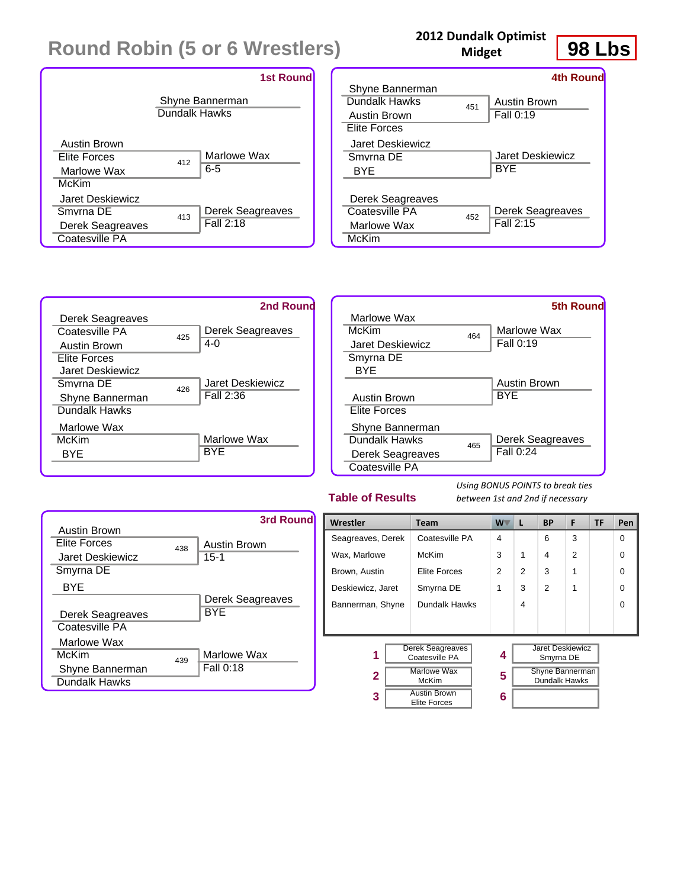|                                                                     |               | <b>1st Round</b>              |
|---------------------------------------------------------------------|---------------|-------------------------------|
|                                                                     | Dundalk Hawks | Shyne Bannerman               |
| Austin Brown<br><b>Elite Forces</b><br>Marlowe Wax<br>McKim         | 412           | Marlowe Wax<br>6-5            |
| Jaret Deskiewicz<br>Smyrna DE<br>Derek Seagreaves<br>Coatesville PA | 413           | Derek Seagreaves<br>Fall 2:18 |

### **2012 Dundalk Optimist Midget**



|                                                   |     | <b>4th Round</b>              |
|---------------------------------------------------|-----|-------------------------------|
| Shyne Bannerman                                   |     |                               |
| Dundalk Hawks                                     | 451 | Austin Brown                  |
| <b>Austin Brown</b>                               |     | Fall 0:19                     |
| Elite Forces                                      |     |                               |
| Jaret Deskiewicz                                  |     |                               |
| Smyrna DF                                         |     | Jaret Deskiewicz              |
| BYE                                               |     | BYE                           |
| Derek Seagreaves<br>Coatesville PA<br>Marlowe Wax | 452 | Derek Seagreaves<br>Fall 2:15 |
| McKim                                             |     |                               |
|                                                   |     |                               |



|                     |     | <b>5th Round</b>    |
|---------------------|-----|---------------------|
| Marlowe Wax         |     |                     |
| McKim               | 464 | Marlowe Wax         |
| Jaret Deskiewicz    |     | <b>Fall 0:19</b>    |
| Smyrna DE           |     |                     |
| RYF                 |     |                     |
|                     |     | <b>Austin Brown</b> |
| <b>Austin Brown</b> |     | <b>BYE</b>          |
| Elite Forces        |     |                     |
| Shyne Bannerman     |     |                     |
| Dundalk Hawks       | 465 | Derek Seagreaves    |
| Derek Seagreaves    |     | Fall 0:24           |
| Coatesville PA      |     |                     |

### **Table of Results**

|                  |     | 3rd Round           |
|------------------|-----|---------------------|
| Austin Brown     |     |                     |
| Elite Forces     | 438 | <b>Austin Brown</b> |
| Jaret Deskiewicz |     | $15-1$              |
| Smyrna DE        |     |                     |
| BYE              |     |                     |
|                  |     | Derek Seagreaves    |
| Derek Seagreaves |     | <b>BYE</b>          |
| Coatesville PA   |     |                     |
| Marlowe Wax      |     |                     |
| McKim            | 439 | Marlowe Wax         |
| Shyne Bannerman  |     | Fall 0:18           |
| Dundalk Hawks    |     |                     |

| Wrestler<br><b>Team</b>                 |                                            | W | L              | <b>BP</b>                               | F              | <b>TF</b> | Pen      |
|-----------------------------------------|--------------------------------------------|---|----------------|-----------------------------------------|----------------|-----------|----------|
| Seagreaves, Derek                       | Coatesville PA                             | 4 |                | 6                                       | 3              |           | $\Omega$ |
| Wax, Marlowe                            | McKim                                      | 3 | 1              | 4                                       | $\overline{2}$ |           | $\Omega$ |
| Brown, Austin                           | Elite Forces                               | 2 | $\overline{2}$ | 3                                       | 1              |           | $\Omega$ |
| Deskiewicz, Jaret                       | Smyrna DE                                  | 1 | 3              | 2                                       |                |           | $\Omega$ |
| Dundalk Hawks<br>Bannerman, Shyne       |                                            |   | 4              |                                         |                |           | $\Omega$ |
|                                         |                                            |   |                |                                         |                |           |          |
|                                         |                                            |   |                |                                         |                |           |          |
| Derek Seagreaves<br>1<br>Coatesville PA |                                            | 4 |                | Jaret Deskiewicz<br>Smyrna DE           |                |           |          |
| Marlowe Wax<br>2<br>McKim               |                                            | 5 |                | <b>Shyne Bannerman</b><br>Dundalk Hawks |                |           |          |
| 3                                       | <b>Austin Brown</b><br><b>Elite Forces</b> |   |                |                                         |                |           |          |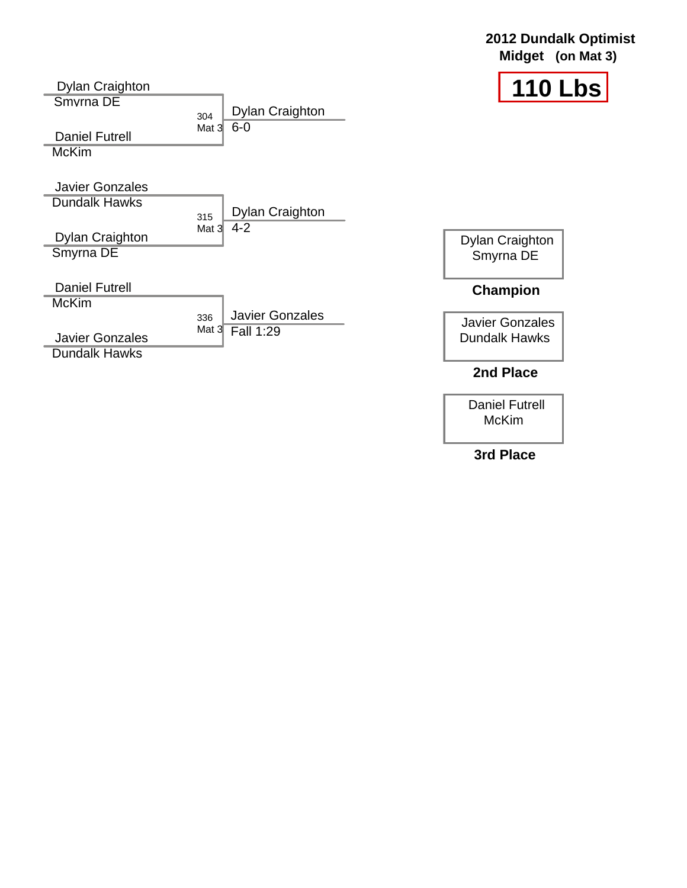

Daniel Futrell McKim

**2012 Dundalk Optimist**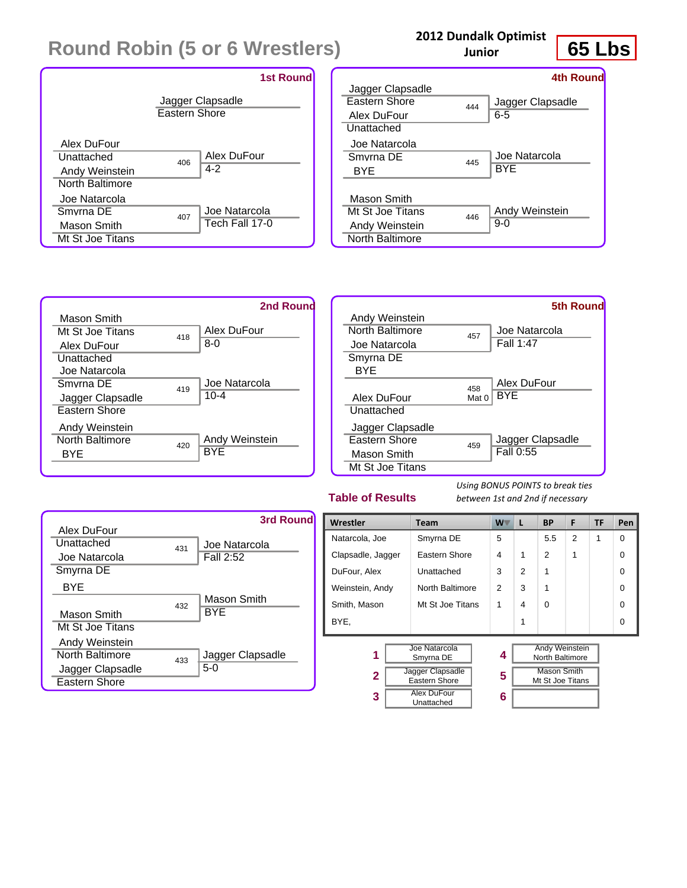

## **2012 Dundalk Optimist**

**Junior**



|                      |     | <b>4th Round</b> |
|----------------------|-----|------------------|
| Jagger Clapsadle     |     |                  |
| <b>Fastern Shore</b> | 444 | Jagger Clapsadle |
| Alex DuFour          |     | 6-5              |
| Unattached           |     |                  |
| Joe Natarcola        |     |                  |
| Smyrna DF            | 445 | Joe Natarcola    |
| RYF                  |     | <b>BYE</b>       |
| Mason Smith          |     |                  |
| Mt St Joe Titans     | 446 | Andy Weinstein   |
| Andy Weinstein       |     | $9-0$            |
| North Baltimore      |     |                  |





### **Table of Results**

| Alex DuFour                 |     | 3rd Round                  |
|-----------------------------|-----|----------------------------|
| Unattached<br>Joe Natarcola | 431 | Joe Natarcola<br>Fall 2:52 |
| Smyrna DE                   |     |                            |
| BYE                         |     |                            |
| Mason Smith                 | 432 | Mason Smith<br><b>BYF</b>  |
| Mt St Joe Titans            |     |                            |
| Andy Weinstein              |     |                            |
| North Baltimore             | 433 | Jagger Clapsadle           |
| Jagger Clapsadle            |     | $5-0$                      |
| Eastern Shore               |     |                            |

| Wrestler                                          | <b>Team</b>                | W              | L | ВP                                       | F | TF | Pen      |
|---------------------------------------------------|----------------------------|----------------|---|------------------------------------------|---|----|----------|
| Natarcola, Joe                                    | Smyrna DE                  | 5              |   | 5.5                                      | 2 | 1  | $\Omega$ |
| Clapsadle, Jagger                                 | Eastern Shore              | 4              | 1 | 2                                        | 1 |    | $\Omega$ |
| DuFour, Alex                                      | Unattached                 | 3              | 2 | 1                                        |   |    | $\Omega$ |
| Weinstein, Andy                                   | North Baltimore            | $\overline{2}$ | 3 |                                          |   |    | $\Omega$ |
| Smith, Mason                                      | Mt St Joe Titans           | 1              | 4 | $\Omega$                                 |   |    | $\Omega$ |
| BYE.                                              |                            |                | 1 |                                          |   |    | $\Omega$ |
|                                                   |                            |                |   |                                          |   |    |          |
| 1                                                 | Joe Natarcola<br>Smyrna DE | 4              |   | <b>Andy Weinstein</b><br>North Baltimore |   |    |          |
| Jagger Clapsadle<br>$\mathbf{2}$<br>Eastern Shore |                            | 5              |   | <b>Mason Smith</b><br>Mt St Joe Titans   |   |    |          |
| <b>Alex DuFour</b><br>3<br>Unattached             |                            | 6              |   |                                          |   |    |          |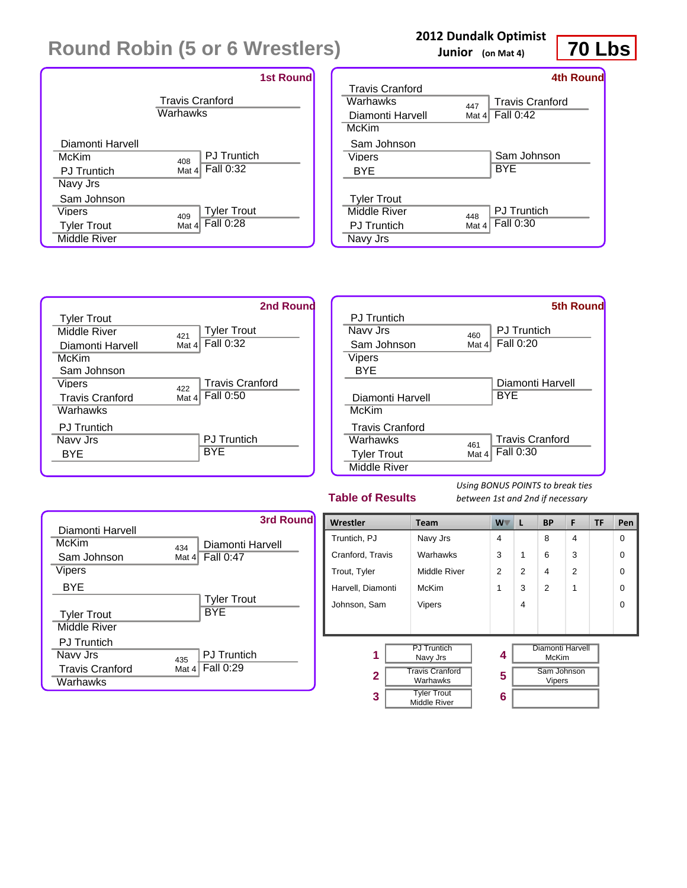|                    | <b>1st Round</b>                   |
|--------------------|------------------------------------|
|                    | <b>Travis Cranford</b><br>Warhawks |
| Diamonti Harvell   | <b>PJ</b> Truntich                 |
| McKim              | 408                                |
| <b>PJ</b> Truntich | Fall 0:32                          |
| Navy Jrs           | Mat 4                              |
| Sam Johnson        | <b>Tyler Trout</b>                 |
| Viners             | 409                                |
| <b>Tyler Trout</b> | Fall 0:28                          |
| Middle River       | Mat 4                              |

### **2012 Dundalk Optimist**

**Junior (on Mat 4)**



|                        |          | 4th Round              |
|------------------------|----------|------------------------|
| <b>Travis Cranford</b> |          |                        |
| Warhawks               | 447      | <b>Travis Cranford</b> |
| Diamonti Harvell       | Mat $41$ | Fall 0:42              |
| McKim                  |          |                        |
| Sam Johnson            |          |                        |
| Viners                 |          | Sam Johnson            |
| BYE                    |          | BYE                    |
|                        |          |                        |
| <b>Tyler Trout</b>     |          |                        |
| Middle River           | 448      | <b>PJ</b> Truntich     |
| <b>PJ</b> Truntich     | Mat 4    | Fall 0:30              |
| Navy Jrs               |          |                        |



|                        |       | <b>5th Round</b>       |
|------------------------|-------|------------------------|
| <b>PJ</b> Truntich     |       |                        |
| Navy Jrs               | 460   | <b>PJ</b> Truntich     |
| Sam Johnson            | Mat 4 | <b>Fall 0:20</b>       |
| Vipers                 |       |                        |
| <b>BYE</b>             |       |                        |
|                        |       | Diamonti Harvell       |
| Diamonti Harvell       |       | <b>BYE</b>             |
| McKim                  |       |                        |
| <b>Travis Cranford</b> |       |                        |
| Warhawks               | 461   | <b>Travis Cranford</b> |
| <b>Tyler Trout</b>     | Mat 4 | Fall 0:30              |
| Middle River           |       |                        |

### **Table of Results**



| Wrestler                                             | <b>Team</b>                               | <b>W</b>       | L              | <b>BP</b>                    | F              | <b>TF</b> | Pen      |
|------------------------------------------------------|-------------------------------------------|----------------|----------------|------------------------------|----------------|-----------|----------|
| Truntich, PJ                                         | Navy Jrs                                  | 4              |                | 8                            | 4              |           | $\Omega$ |
| Cranford, Travis                                     | Warhawks                                  | 3              | 1              | 6                            | 3              |           | 0        |
| Trout, Tyler                                         | Middle River                              | $\overline{2}$ | $\overline{2}$ | 4                            | $\overline{2}$ |           | $\Omega$ |
| Harvell, Diamonti                                    | McKim                                     | 1              | 3              | $\mathfrak{p}$               | 1              |           | $\Omega$ |
| Johnson, Sam                                         | Vipers                                    |                | 4              |                              |                |           | $\Omega$ |
|                                                      |                                           |                |                |                              |                |           |          |
|                                                      |                                           |                |                |                              |                |           |          |
| 1                                                    | <b>PJ Truntich</b><br>Navy Jrs            | 4              |                | Diamonti Harvell<br>McKim    |                |           |          |
| <b>Travis Cranford</b><br>$\overline{2}$<br>Warhawks |                                           | 5              |                | Sam Johnson<br><b>Vipers</b> |                |           |          |
| 3                                                    | <b>Tyler Trout</b><br><b>Middle River</b> | 6              |                |                              |                |           |          |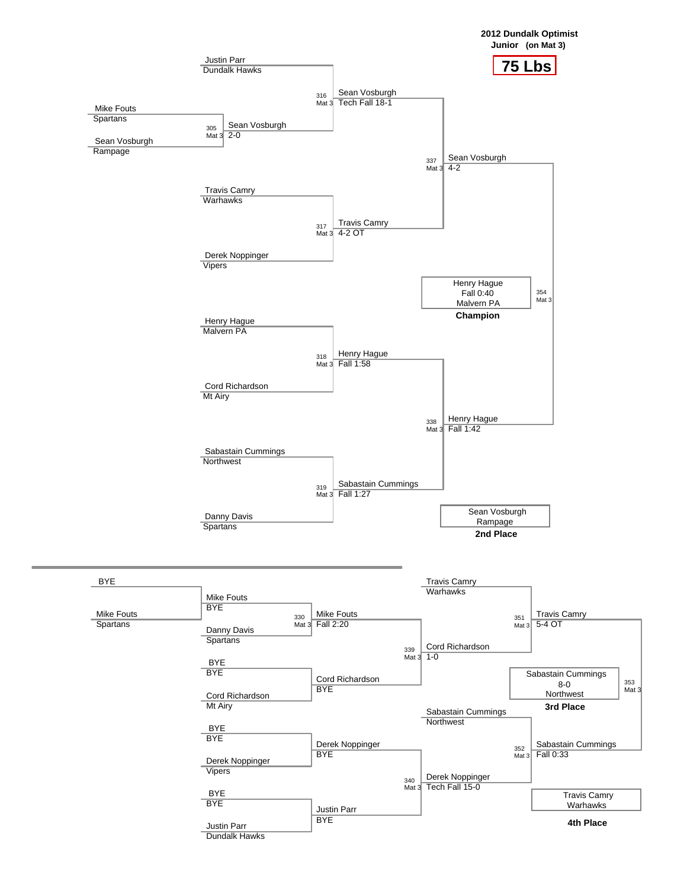

Justin Parr Dundalk Hawks **4th Place**

353 Mat 3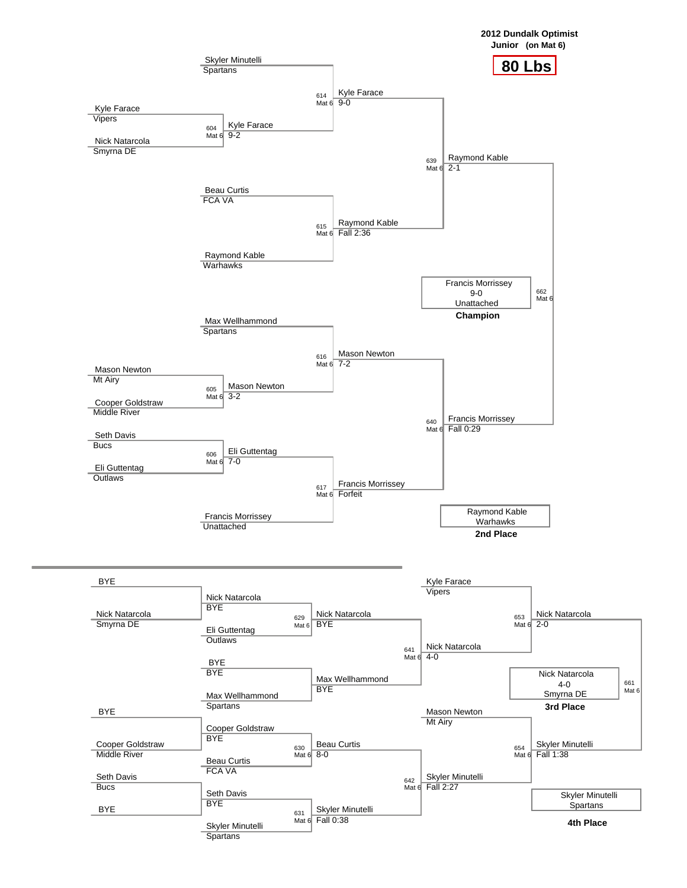

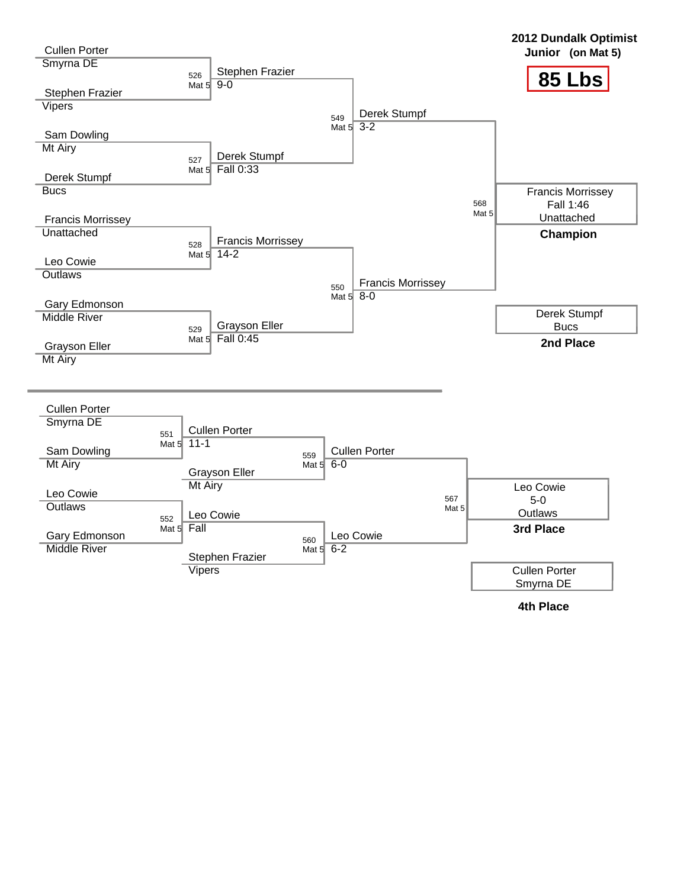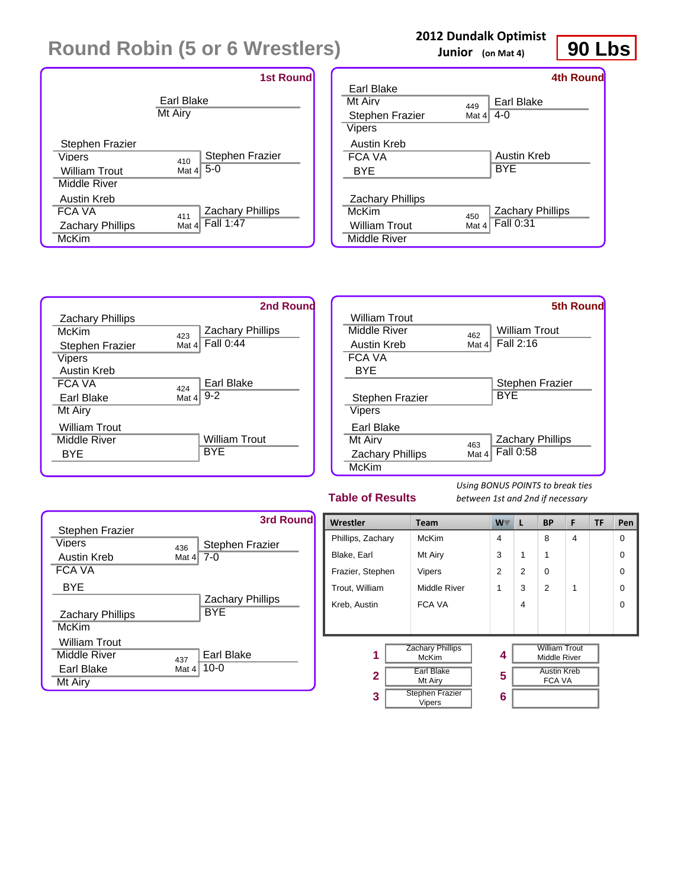

### **2012 Dundalk Optimist**

**Junior (on Mat 4)**



|                         |         | <b>4th Round</b>        |
|-------------------------|---------|-------------------------|
| Earl Blake              |         |                         |
| Mt Airv                 | 449     | Earl Blake              |
| <b>Stephen Frazier</b>  | Mat $4$ | 4-0                     |
| Vipers                  |         |                         |
| Austin Kreb             |         |                         |
| FCA VA                  |         | Austin Kreb             |
| BYE                     |         | BYE                     |
|                         |         |                         |
| <b>Zachary Phillips</b> |         |                         |
| McKim                   | 450     | <b>Zachary Phillips</b> |
| <b>William Trout</b>    | Mat 4   | Fall 0:31               |
| Middle River            |         |                         |





### **Table of Results**



| Wrestler          | <b>Team</b>                             | W.             | L              | <b>BP</b>                            | F | <b>TF</b> | Pen      |
|-------------------|-----------------------------------------|----------------|----------------|--------------------------------------|---|-----------|----------|
| Phillips, Zachary | McKim                                   | 4              |                | 8                                    | 4 |           | $\Omega$ |
| Blake, Earl       | Mt Airy                                 | 3              | $\mathbf 1$    | 1                                    |   |           | $\Omega$ |
| Frazier, Stephen  | Vipers                                  | $\overline{2}$ | $\mathfrak{p}$ | 0                                    |   |           | $\Omega$ |
| Trout, William    | Middle River                            | 1              | 3              | $\mathcal{P}$                        | 1 |           | $\Omega$ |
| Kreb, Austin      | <b>FCA VA</b>                           |                | 4              |                                      |   |           | $\Omega$ |
|                   |                                         |                |                |                                      |   |           |          |
| 1                 | <b>Zachary Phillips</b><br><b>McKim</b> | 4              |                | <b>William Trout</b><br>Middle River |   |           |          |
| $\overline{2}$    | Earl Blake<br>Mt Airy                   |                |                | <b>Austin Kreb</b><br><b>FCA VA</b>  |   |           |          |
| 3                 | <b>Stephen Frazier</b><br>Vipers        | 6              |                |                                      |   |           |          |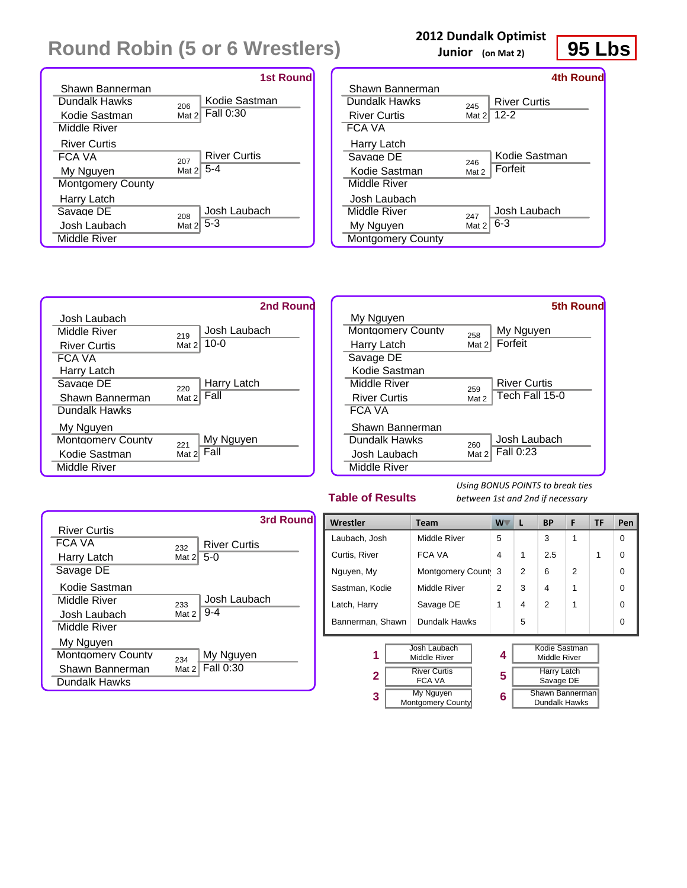|                          | <b>1st Round</b>           |
|--------------------------|----------------------------|
| Shawn Bannerman          |                            |
| Dundalk Hawks            | Kodie Sastman<br>206       |
| Kodie Sastman            | Fall 0:30<br>Mat 2         |
| Middle River             |                            |
| <b>River Curtis</b>      |                            |
| FCA VA                   | <b>River Curtis</b><br>207 |
| My Nguyen                | Mat 2 5-4                  |
| <b>Montgomery County</b> |                            |
| Harry Latch              |                            |
| Savage DE                | Josh Laubach<br>208        |
| Josh Laubach             | $5-3$<br>Mat 2             |
| Middle River             |                            |

### **2012 Dundalk Optimist**

**Junior (on Mat 2)**



|          | 4th Round           |
|----------|---------------------|
|          |                     |
| 245      | <b>River Curtis</b> |
| Mat $21$ | $12 - 2$            |
|          |                     |
|          |                     |
|          | Kodie Sastman       |
| Mat 2    | Forfeit             |
|          |                     |
|          |                     |
| 247      | Josh Laubach        |
| Mat 2    | 6-3                 |
|          |                     |
|          | 246                 |



### **Table of Results**

|                     |          | 3rd Round           |
|---------------------|----------|---------------------|
| <b>River Curtis</b> |          |                     |
| FCA VA              | 232      | <b>River Curtis</b> |
| Harry Latch         | Mat $21$ | $5-0$               |
| Savage DE           |          |                     |
| Kodie Sastman       |          |                     |
| Middle River        | 233      | Josh Laubach        |
| Josh Laubach        | Mat 2    | $9 - 4$             |
| Middle River        |          |                     |
| My Nguyen           |          |                     |
| Montgomery County   | 234      | My Nguyen           |
| Shawn Bannerman     | Mat 2    | Fall 0:30           |
| Dundalk Hawks       |          |                     |

| Wrestler          | <b>Team</b>                    |   | L | <b>BP</b>                        | F              | <b>TF</b> | Pen      |
|-------------------|--------------------------------|---|---|----------------------------------|----------------|-----------|----------|
| Laubach, Josh     | Middle River                   | 5 |   | 3                                | 1              |           | $\Omega$ |
| Curtis, River     | FCA VA                         | 4 | 1 | 2.5                              |                | 1         | $\Omega$ |
| Nguyen, My        | Montgomery Count               | 3 | 2 | 6                                | $\mathfrak{p}$ |           | $\Omega$ |
| Sastman, Kodie    | Middle River                   | 2 | 3 | 4                                | 1              |           | $\Omega$ |
| Latch, Harry      | Savage DE                      | 1 | 4 | 2                                | 1              |           | $\Omega$ |
| Bannerman, Shawn  | Dundalk Hawks                  |   | 5 |                                  |                |           | $\Omega$ |
|                   | <b>Josh Laubach</b>            |   |   | Kodie Sastman                    |                |           |          |
| 1<br>Middle River |                                | 4 |   | Middle River                     |                |           |          |
| 2                 | <b>River Curtis</b><br>FCA VA  |   |   | <b>Harry Latch</b><br>Savage DE  |                |           |          |
| 3                 | My Nguyen<br>Montgomery County | 6 |   | Shawn Bannerman<br>Dundalk Hawks |                |           |          |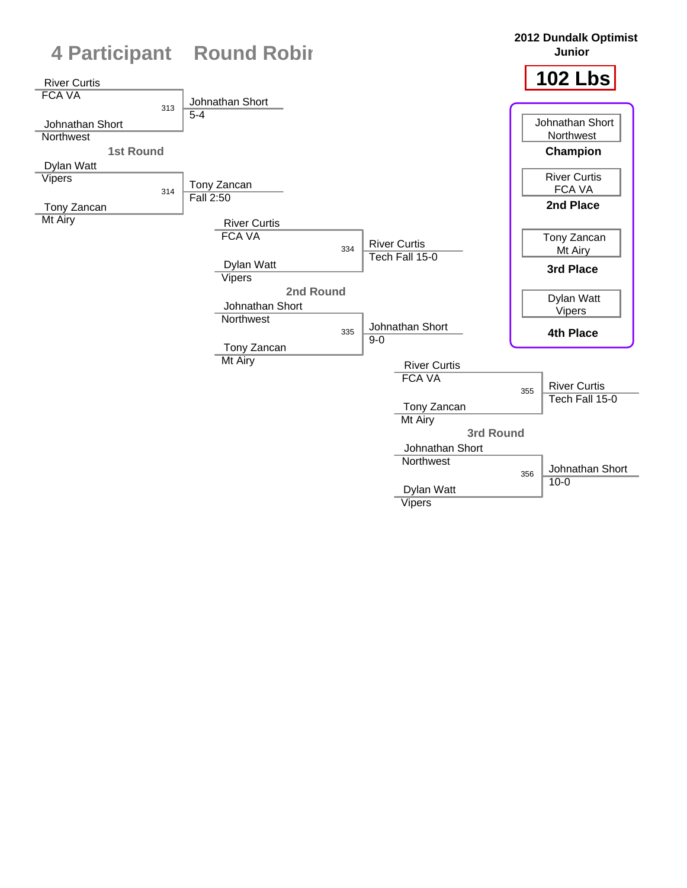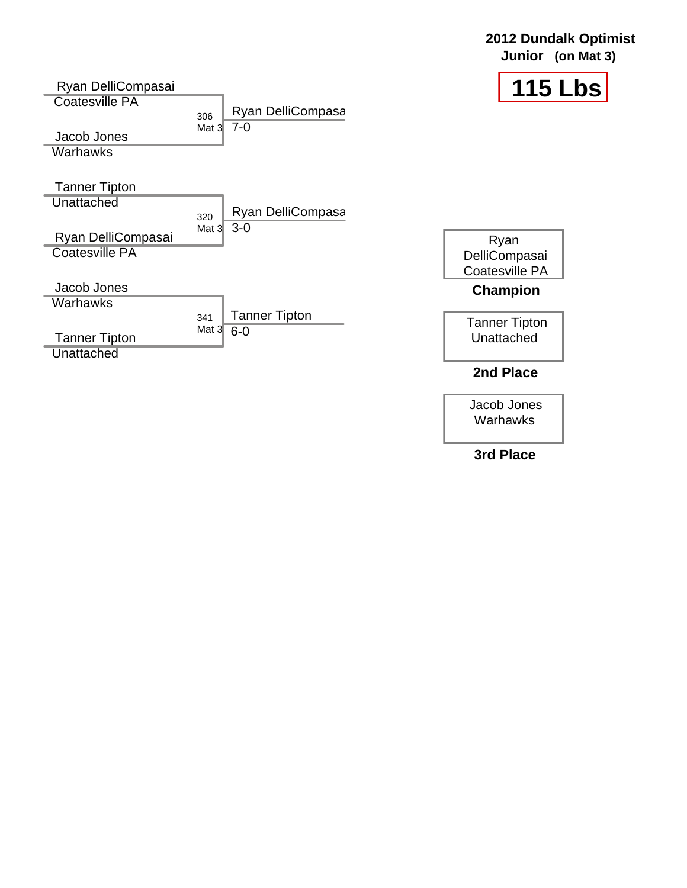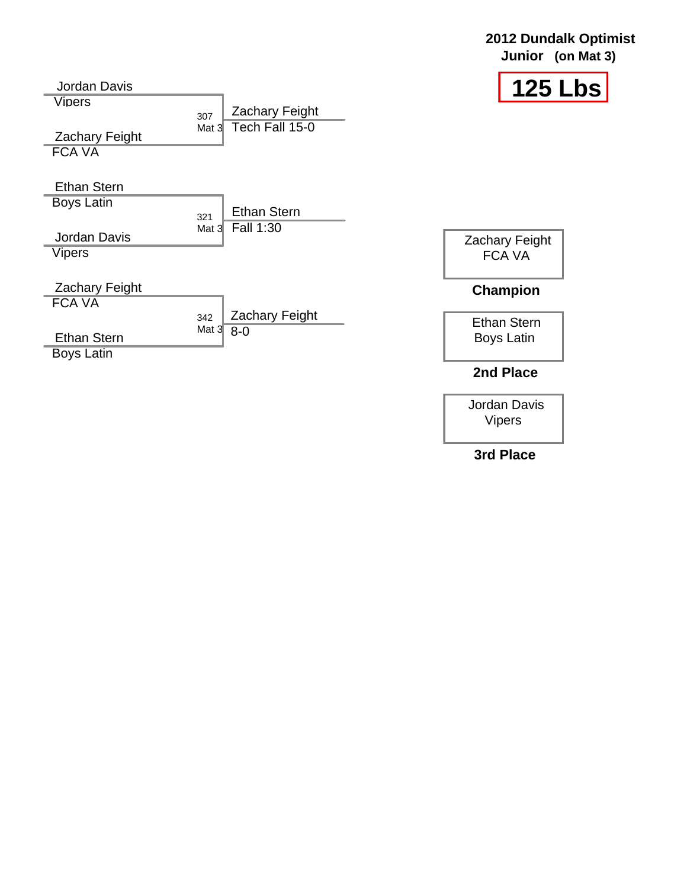|  | <b>2012 Dundalk Optimist</b> |
|--|------------------------------|
|  | Junior (on Mat 3)            |
|  |                              |



Jordan Davis Vipers 307 Mat 3 Zachary Feight FCA VA Ethan Stern Boys Latin 321 Mat 3 Fall 1:30 Jordan Davis **Vipers** Zachary Feight FCA VA  $342$  Mat 3 Ethan Stern Boys Latin Zachary Feight Tech Fall 15-0 Ethan Stern Zachary Feight FCA VA Ethan Stern Boys Latin **Champion 2nd Place** Zachary Feight 8-0

> Jordan Davis Vipers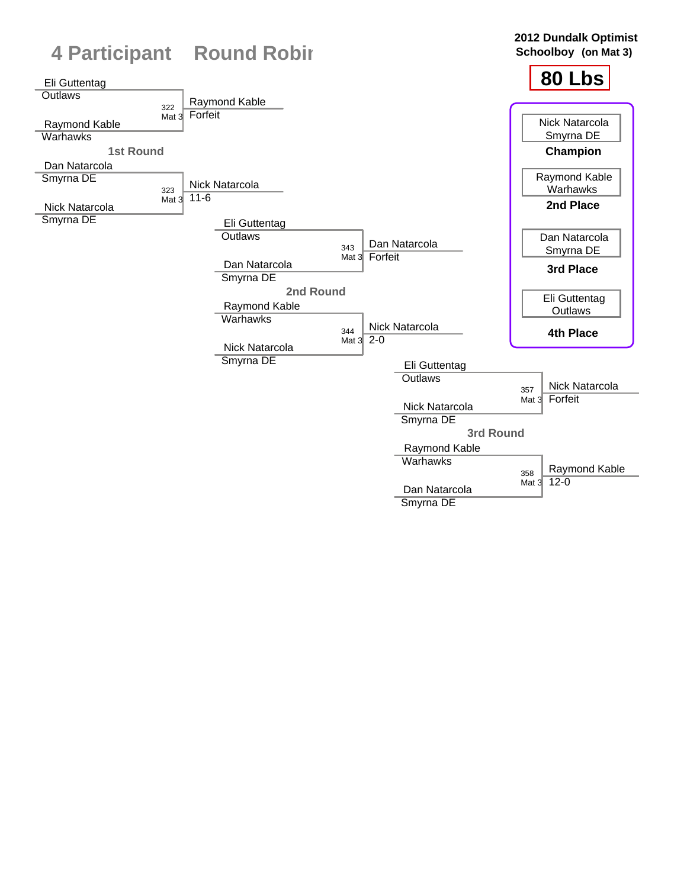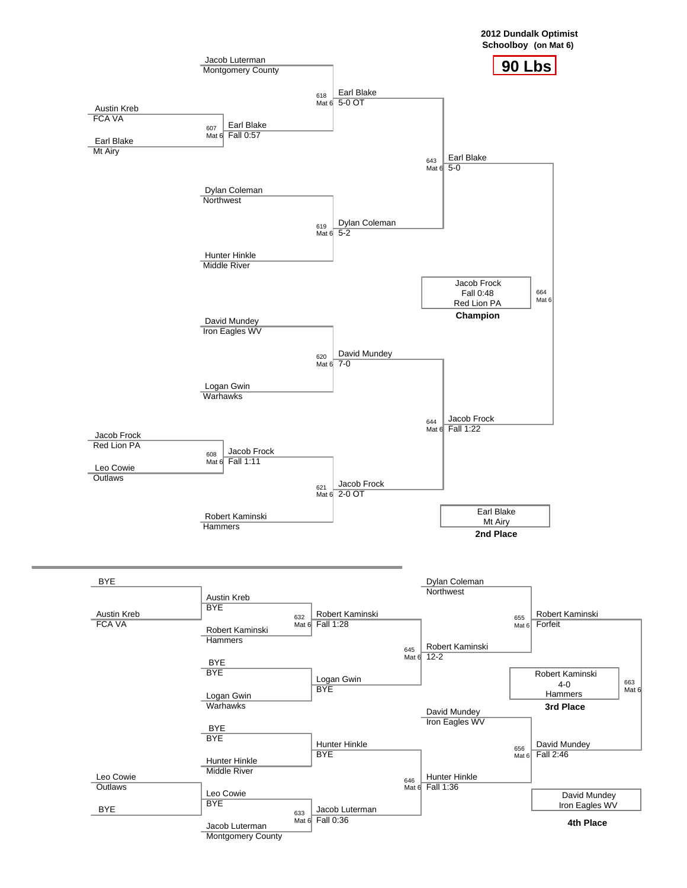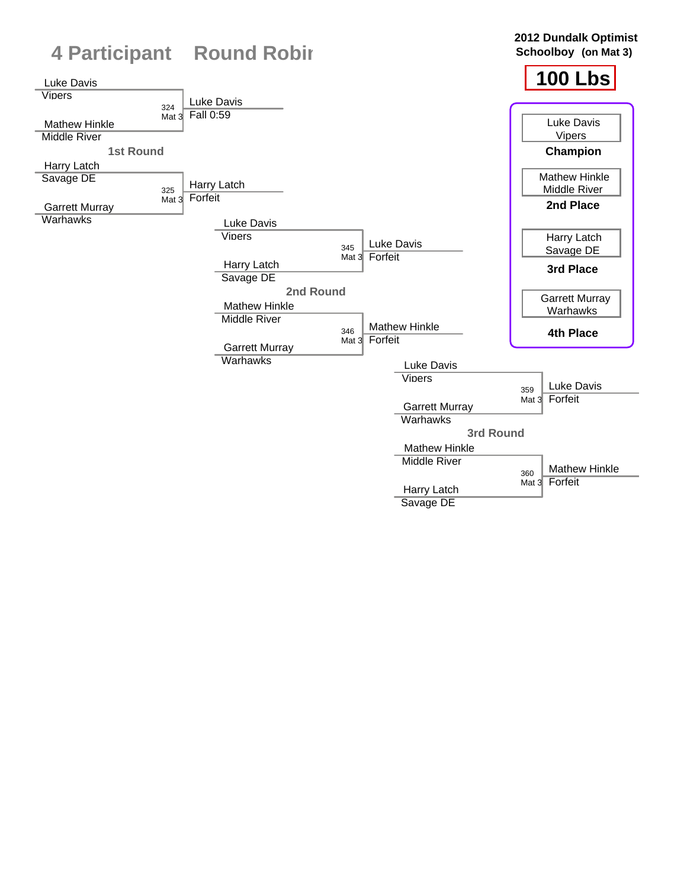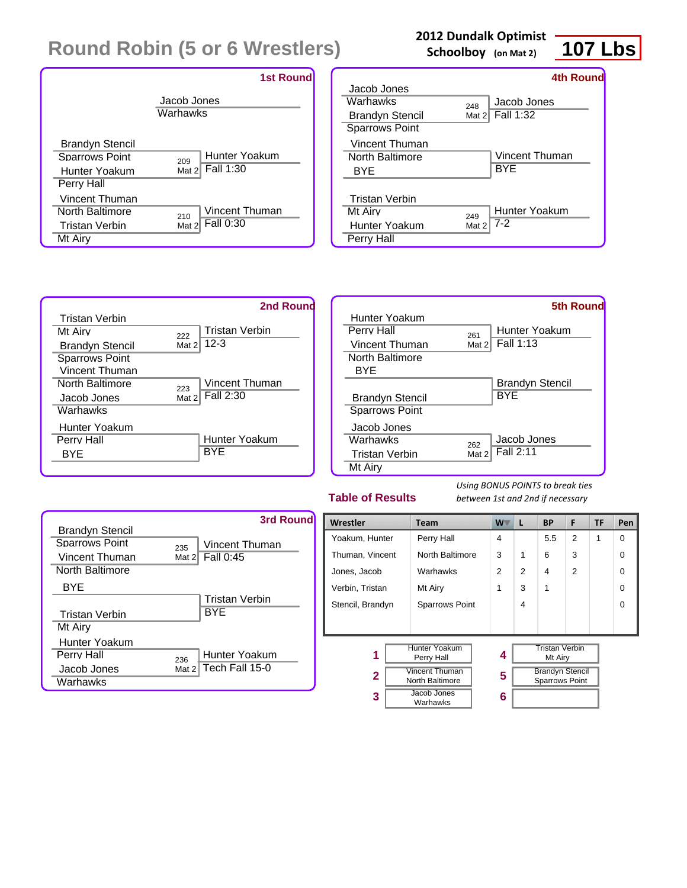|                        | <b>1st Round</b>        |
|------------------------|-------------------------|
|                        | Jacob Jones<br>Warhawks |
| <b>Brandyn Stencil</b> | Hunter Yoakum           |
| Sparrows Point         | 209                     |
| Hunter Yoakum          | Fall 1:30               |
| Perry Hall             | Mat 2                   |
| Vincent Thuman         | Vincent Thuman          |
| North Baltimore        | 210                     |
| Tristan Verbin         | Fall 0:30               |
| Mt Airy                | Mat 2                   |

### **2012 Dundalk Optimist**

**Schoolboy (on Mat 2)**



|                                                   |              | 4th Round              |
|---------------------------------------------------|--------------|------------------------|
| Jacob Jones                                       |              |                        |
| Warhawks                                          | 248          | Jacob Jones            |
| <b>Brandyn Stencil</b>                            | Mat $21$     | Fall 1:32              |
| <b>Sparrows Point</b>                             |              |                        |
| Vincent Thuman                                    |              |                        |
| <b>North Baltimore</b>                            |              | Vincent Thuman         |
| BYE                                               |              | BYE                    |
| <b>Tristan Verbin</b><br>Mt Airv<br>Hunter Yoakum | 249<br>Mat 2 | Hunter Yoakum<br>$7-2$ |
| Perry Hall                                        |              |                        |



|                        |       | <b>5th Round</b> |
|------------------------|-------|------------------|
| Hunter Yoakum          |       |                  |
| Perry Hall             | 261   | Hunter Yoakum    |
| Vincent Thuman         | Mat 2 | Fall 1:13        |
| North Baltimore        |       |                  |
| BYE                    |       |                  |
|                        |       | Brandyn Stencil  |
| <b>Brandyn Stencil</b> |       | <b>BYE</b>       |
| <b>Sparrows Point</b>  |       |                  |
| Jacob Jones            |       |                  |
| Warhawks               | 262   | Jacob Jones      |
| Tristan Verbin         | Mat 2 | Fall 2:11        |
| Mt Airy                |       |                  |

### **Table of Results**



| Wrestler<br><b>Team</b>                                  |                       | W. | L | <b>BP</b>                                       | F              | <b>TF</b> | Pen      |
|----------------------------------------------------------|-----------------------|----|---|-------------------------------------------------|----------------|-----------|----------|
| Yoakum, Hunter                                           | Perry Hall            | 4  |   | 5.5                                             | $\overline{2}$ | 1         | $\Omega$ |
| Thuman, Vincent                                          | North Baltimore       | 3  | 1 | 6                                               | 3              |           | 0        |
| Jones, Jacob                                             | Warhawks              | 2  | 2 | 4                                               | $\mathfrak{p}$ |           | 0        |
| Verbin, Tristan                                          | Mt Airy               | 1  | 3 | 1                                               |                |           | 0        |
| Stencil, Brandyn                                         | <b>Sparrows Point</b> |    | 4 |                                                 |                |           | $\Omega$ |
|                                                          |                       |    |   |                                                 |                |           |          |
|                                                          |                       |    |   |                                                 |                |           |          |
| Hunter Yoakum<br>1<br>Perry Hall                         |                       | 4  |   | <b>Tristan Verbin</b><br>Mt Airy                |                |           |          |
| <b>Vincent Thuman</b><br>$\mathbf{2}$<br>North Baltimore |                       | 5  |   | <b>Brandyn Stencil</b><br><b>Sparrows Point</b> |                |           |          |
| Jacob Jones<br>3<br>Warhawks                             |                       | 6  |   |                                                 |                |           |          |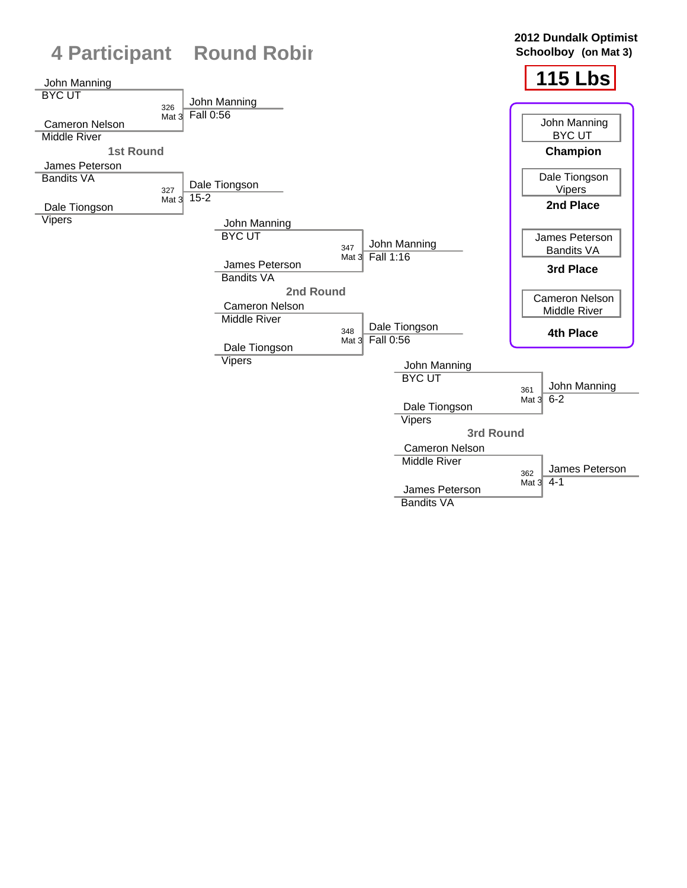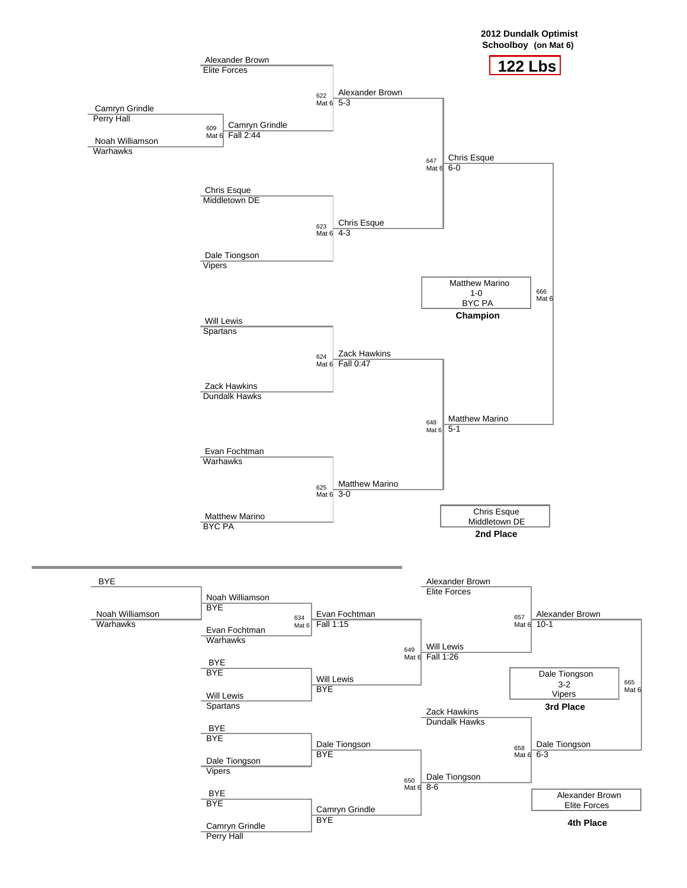

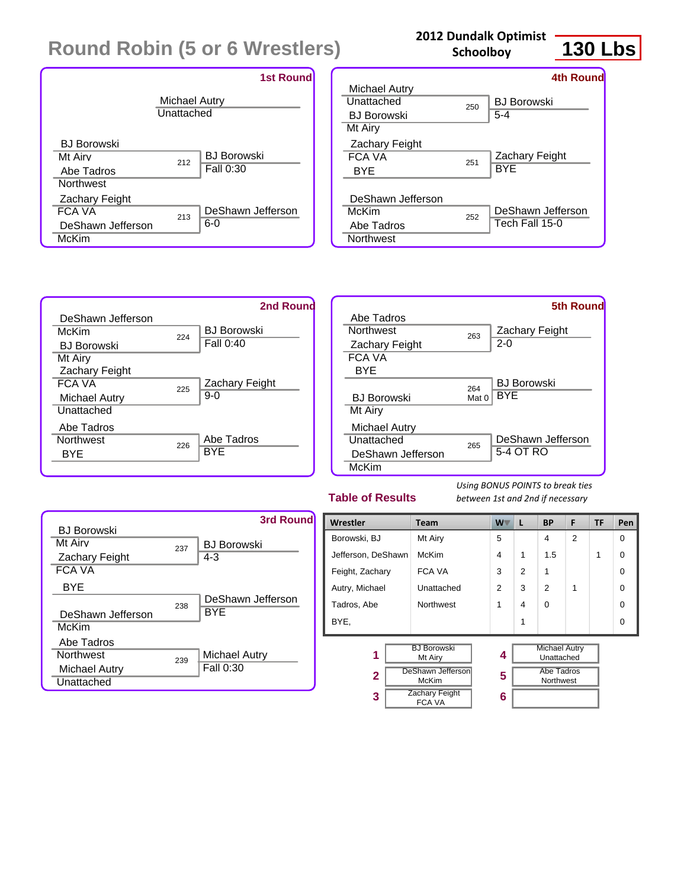

### **2012 Dundalk Optimist Schoolboy**

# **130 Lbs**

| 4th Round          |
|--------------------|
|                    |
| <b>BJ Borowski</b> |
| $5 - 4$            |
|                    |
|                    |
| Zachary Feight     |
| <b>BYE</b>         |
|                    |
|                    |
| DeShawn Jefferson  |
| Tech Fall 15-0     |
|                    |
| 250<br>251<br>252  |





### **Table of Results**



| Wrestler                           | <b>Team</b>                            | W              | L | <b>BP</b>                          | F              | <b>TF</b> | Pen      |
|------------------------------------|----------------------------------------|----------------|---|------------------------------------|----------------|-----------|----------|
| Borowski, BJ                       | Mt Airy                                | 5              |   | 4                                  | $\overline{2}$ |           | $\Omega$ |
| Jefferson, DeShawn                 | McKim                                  | $\overline{4}$ | 1 | 1.5                                |                | 1         | 0        |
| Feight, Zachary                    | FCA VA                                 | 3              | 2 | 1                                  |                |           | 0        |
| Autry, Michael                     | Unattached                             | $\overline{2}$ | 3 | $\overline{2}$                     | 1              |           | 0        |
| Tadros, Abe                        | Northwest                              | 1              | 4 | $\Omega$                           |                |           | 0        |
| BYE.                               |                                        |                | 1 |                                    |                |           | $\Omega$ |
| <b>BJ Borowski</b><br>1<br>Mt Airy |                                        | 4              |   | <b>Michael Autry</b><br>Unattached |                |           |          |
| $\mathbf{2}$                       | <b>DeShawn Jefferson</b><br>McKim      | 5              |   | Abe Tadros<br>Northwest            |                |           |          |
| 3                                  | <b>Zachary Feight</b><br><b>FCA VA</b> | 6              |   |                                    |                |           |          |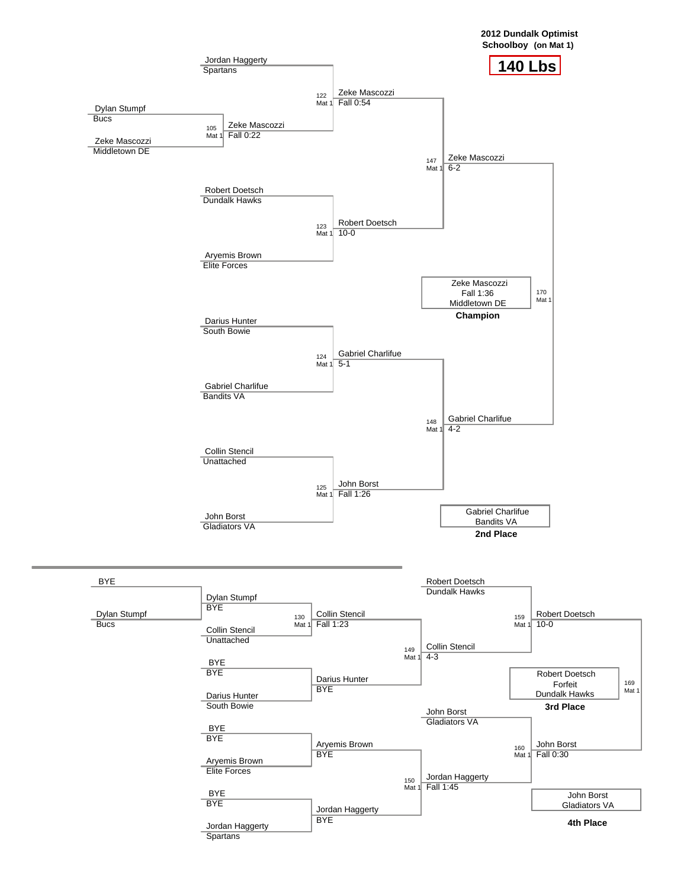

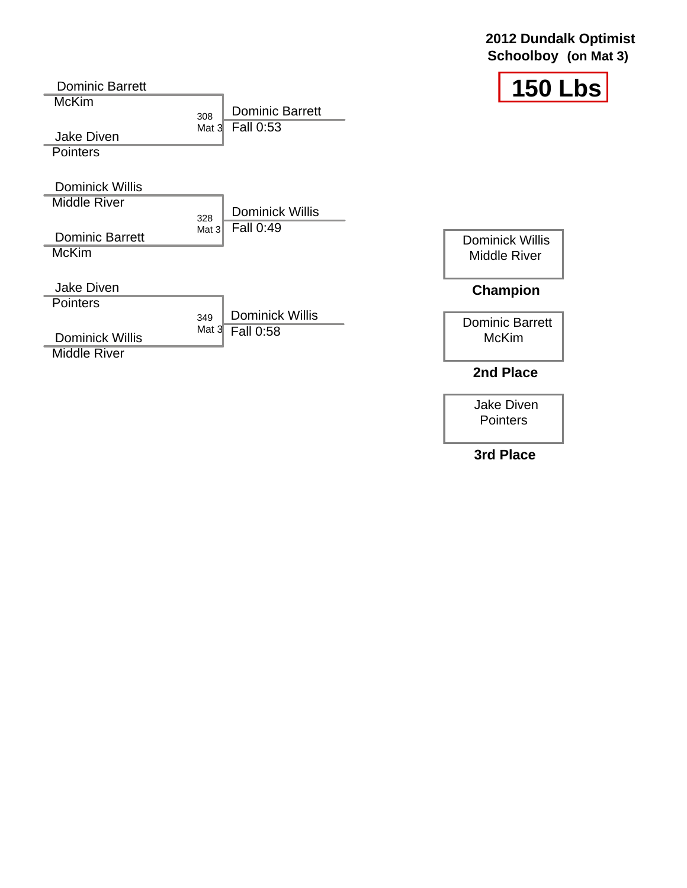### **2012 Dundalk Optimist Schoolboy (on Mat 3)**



| <b>Dominic Barrett</b>                        |                |                        | 150<br>$\mathbf{L}$                           |
|-----------------------------------------------|----------------|------------------------|-----------------------------------------------|
| <b>McKim</b>                                  | 308            | <b>Dominic Barrett</b> |                                               |
| <b>Jake Diven</b><br><b>Pointers</b>          | Mat $3l$       | Fall 0:53              |                                               |
| <b>Dominick Willis</b>                        |                |                        |                                               |
| <b>Middle River</b>                           |                | <b>Dominick Willis</b> |                                               |
| <b>Dominic Barrett</b><br><b>McKim</b>        | 328<br>Mat $3$ | Fall 0:49              | <b>Dominick Willis</b><br><b>Middle River</b> |
| <b>Jake Diven</b>                             |                |                        | <b>Champion</b>                               |
| <b>Pointers</b>                               | 349            | <b>Dominick Willis</b> |                                               |
| <b>Dominick Willis</b><br><b>Middle River</b> | Mat $3$        | Fall 0:58              | <b>Dominic Barrett</b><br><b>McKim</b>        |
|                                               |                |                        | 2nd Place                                     |

Jake Diven Pointers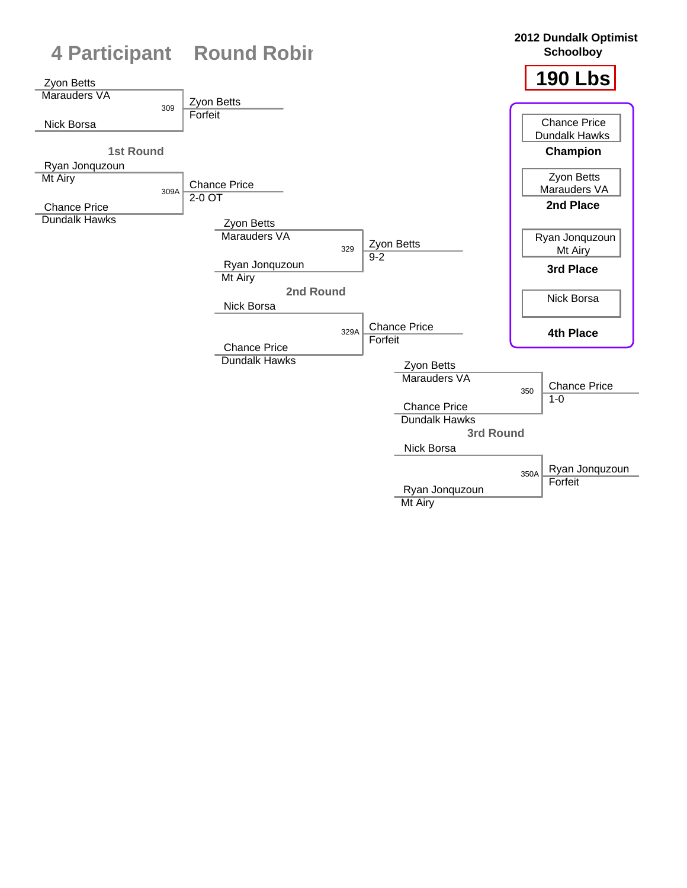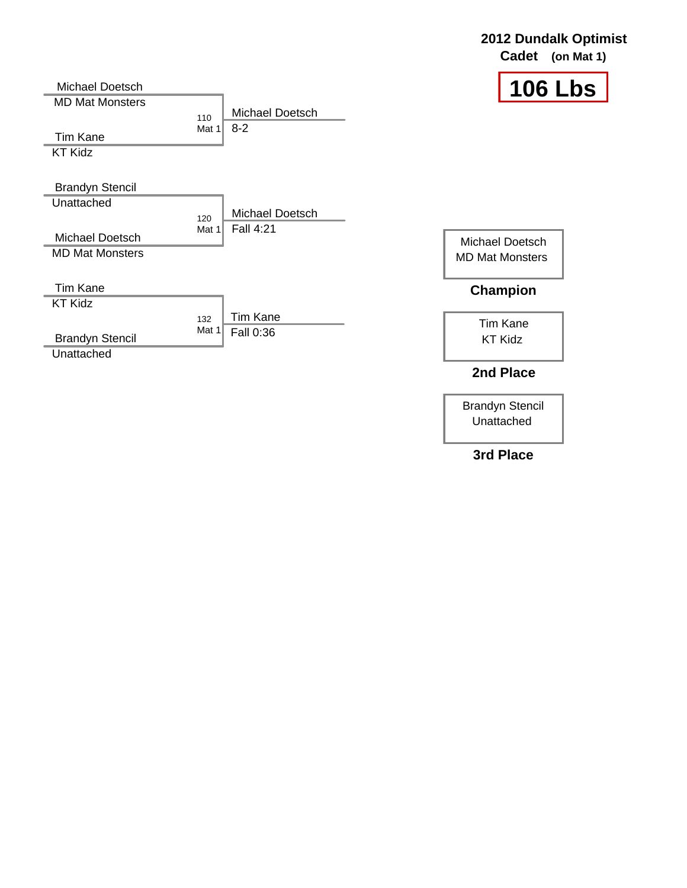|                                           |                                              | Cadet<br>(on Mat 1)               |
|-------------------------------------------|----------------------------------------------|-----------------------------------|
| Michael Doetsch<br><b>MD Mat Monsters</b> |                                              | <b>106 Lbs</b>                    |
| <b>Tim Kane</b>                           | Michael Doetsch<br>110<br>$8 - 2$<br>Mat 1   |                                   |
| <b>KT Kidz</b>                            |                                              |                                   |
| <b>Brandyn Stencil</b>                    |                                              |                                   |
| Unattached                                | Michael Doetsch<br>120                       |                                   |
| Michael Doetsch                           | <b>Fall 4:21</b><br>Mat 1                    | Michael Doetsch                   |
| <b>MD Mat Monsters</b>                    |                                              | <b>MD Mat Monsters</b>            |
| <b>Tim Kane</b>                           |                                              | Champion                          |
| <b>KT Kidz</b>                            |                                              |                                   |
| <b>Brandyn Stencil</b>                    | <b>Tim Kane</b><br>132<br>Mat 1<br>Fall 0:36 | <b>Tim Kane</b><br><b>KT Kidz</b> |
| Unattached                                |                                              | 2nd Place                         |

Brandyn Stencil Unattached

**2012 Dundalk Optimist**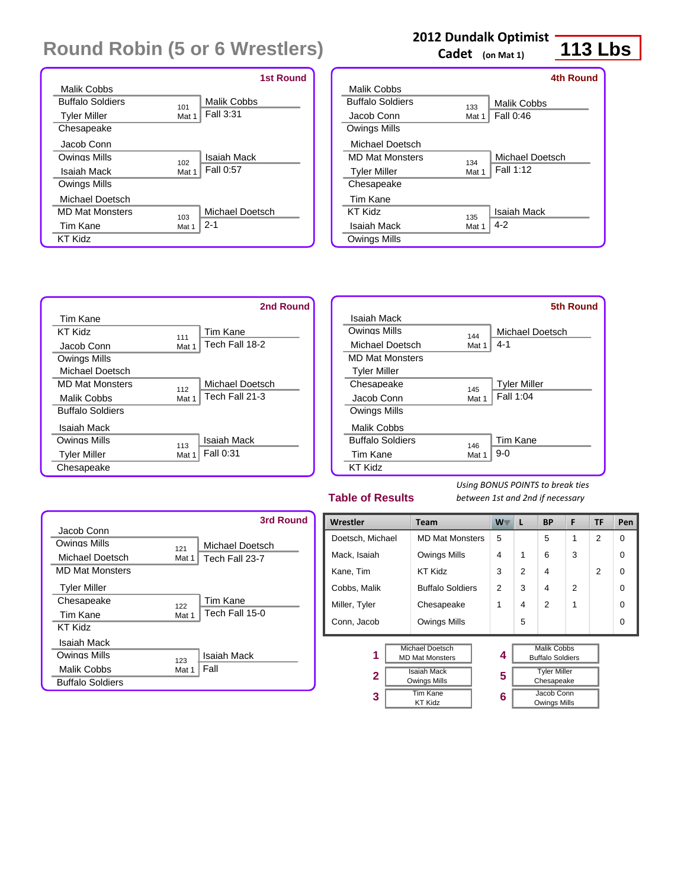|                         |       | <b>1st Round</b>   |
|-------------------------|-------|--------------------|
| Malik Cobbs             |       |                    |
| <b>Buffalo Soldiers</b> | 101   | <b>Malik Cobbs</b> |
| <b>Tyler Miller</b>     | Mat 1 | Fall 3:31          |
| Chesapeake              |       |                    |
| Jacob Conn              |       |                    |
| Owings Mills            | 102   | Isaiah Mack        |
| Isaiah Mack             | Mat 1 | Fall 0:57          |
| <b>Owings Mills</b>     |       |                    |
| Michael Doetsch         |       |                    |
| <b>MD Mat Monsters</b>  | 103   | Michael Doetsch    |
| Tim Kane                | Mat 1 | $2 - 1$            |
| KT Kidz                 |       |                    |

### **2012 Dundalk Optimist**

**Cadet (on Mat 1)**

## **113 Lbs**

|       | 4th Round        |
|-------|------------------|
|       |                  |
| 133   | Malik Cobbs      |
| Mat 1 | <b>Fall 0:46</b> |
|       |                  |
|       |                  |
|       | Michael Doetsch  |
| Mat 1 | Fall 1:12        |
|       |                  |
|       |                  |
|       | Isaiah Mack      |
| Mat 1 | $4-2$            |
|       |                  |
|       | 134<br>135       |



|                         |       | 5th Round           |
|-------------------------|-------|---------------------|
| Isaiah Mack             |       |                     |
| Owings Mills            | 144   | Michael Doetsch     |
| Michael Doetsch         | Mat 1 | $4 - 1$             |
| <b>MD Mat Monsters</b>  |       |                     |
| <b>Tyler Miller</b>     |       |                     |
| Chesapeake              | 145   | <b>Tyler Miller</b> |
| Jacob Conn              | Mat 1 | Fall 1:04           |
| <b>Owings Mills</b>     |       |                     |
| Malik Cobbs             |       |                     |
| <b>Buffalo Soldiers</b> | 146   | Tim Kane            |
| Tim Kane                | Mat 1 | $9-0$               |
| KT Kidz                 |       |                     |

### **Table of Results**

|                         |       | 3rd Round       |
|-------------------------|-------|-----------------|
| Jacob Conn              |       |                 |
| Owings Mills            | 121   | Michael Doetsch |
| Michael Doetsch         | Mat 1 | Tech Fall 23-7  |
| <b>MD Mat Monsters</b>  |       |                 |
| <b>Tyler Miller</b>     |       |                 |
| Chesapeake              | 122   | Tim Kane        |
| Tim Kane                | Mat 1 | Tech Fall 15-0  |
| KT Kidz                 |       |                 |
| Isaiah Mack             |       |                 |
| Owings Mills            | 123   | Isaiah Mack     |
| Malik Cobbs             | Mat 1 | Fall            |
| <b>Buffalo Soldiers</b> |       |                 |

| Wrestler         | <b>Team</b>             | $W^-$         | L | <b>BP</b>               | F              | TF             | Pen      |
|------------------|-------------------------|---------------|---|-------------------------|----------------|----------------|----------|
| Doetsch, Michael | <b>MD Mat Monsters</b>  | 5             |   | 5                       | 1              | $\overline{2}$ | $\Omega$ |
| Mack, Isaiah     | <b>Owings Mills</b>     | 4             | 1 | 6                       | 3              |                | 0        |
| Kane, Tim        | <b>KT Kidz</b>          | 3             | 2 | 4                       |                | $\mathcal{P}$  | 0        |
| Cobbs, Malik     | <b>Buffalo Soldiers</b> | $\mathcal{P}$ | 3 | 4                       | $\mathfrak{p}$ |                | 0        |
| Miller, Tyler    | Chesapeake              | 1             | 4 | $\overline{2}$          | 1              |                | 0        |
| Conn, Jacob      | Owings Mills            |               | 5 |                         |                |                | 0        |
|                  |                         |               |   |                         |                |                |          |
|                  | Michael Doetsch         |               |   | <b>Malik Cobbs</b>      |                |                |          |
| 1                | <b>MD Mat Monsters</b>  | 4             |   | <b>Buffalo Soldiers</b> |                |                |          |
|                  | <b>Isaiah Mack</b>      |               |   | <b>Tyler Miller</b>     |                |                |          |
| $\mathbf{2}$     | <b>Owings Mills</b>     |               |   | Chesapeake              |                |                |          |
| 3                | <b>Tim Kane</b>         |               |   | Jacob Conn              |                |                |          |
|                  | <b>KT Kidz</b>          |               |   | <b>Owings Mills</b>     |                |                |          |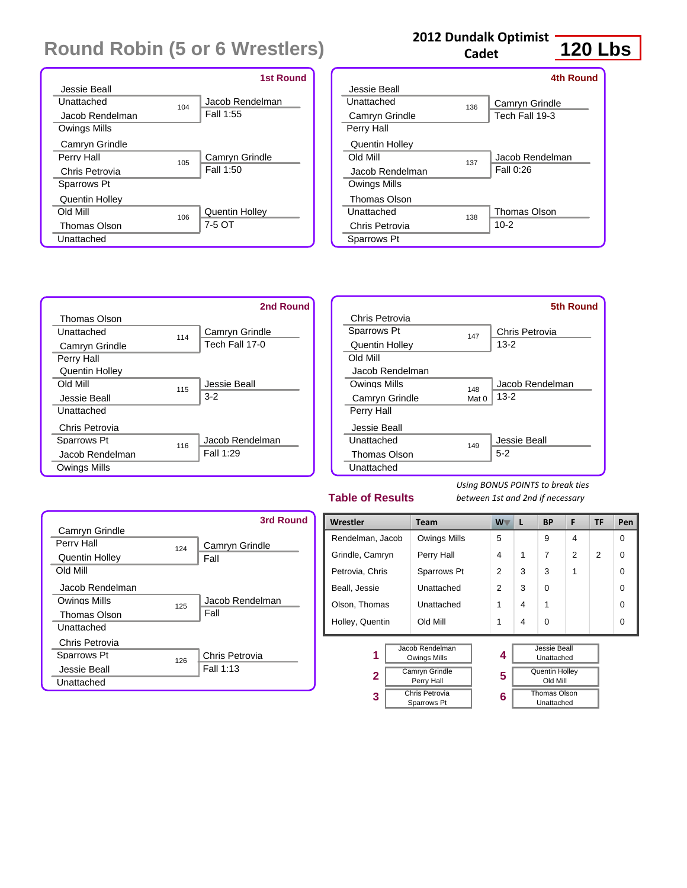|                       |     | <b>1st Round</b>      |
|-----------------------|-----|-----------------------|
| Jessie Beall          |     |                       |
| Unattached            | 104 | Jacob Rendelman       |
| Jacob Rendelman       |     | Fall 1:55             |
| Owings Mills          |     |                       |
| Camryn Grindle        |     |                       |
| Perry Hall            | 105 | Camryn Grindle        |
| Chris Petrovia        |     | Fall 1:50             |
| Sparrows Pt           |     |                       |
| <b>Quentin Holley</b> |     |                       |
| <b>Old Mill</b>       | 106 | <b>Quentin Holley</b> |
| <b>Thomas Olson</b>   |     | 7-5 OT                |
| Unattached            |     |                       |

### **2012 Dundalk Optimist**

**Cadet**

## **120 Lbs**

**5th Round**

|                       |     | <b>4th Round</b>    |
|-----------------------|-----|---------------------|
| Jessie Beall          |     |                     |
| Unattached            | 136 | Camryn Grindle      |
| Camryn Grindle        |     | Tech Fall 19-3      |
| Perry Hall            |     |                     |
| <b>Quentin Holley</b> |     |                     |
| <b>Old Mill</b>       | 137 | Jacob Rendelman     |
| Jacob Rendelman       |     | Fall 0:26           |
| Owings Mills          |     |                     |
| <b>Thomas Olson</b>   |     |                     |
| Unattached            | 138 | <b>Thomas Olson</b> |
| Chris Petrovia        |     | $10 - 2$            |
| Sparrows Pt           |     |                     |
|                       |     |                     |



### **Table of Results**

**3**

*Using BONUS POINTS to break ties between 1st and 2nd if necessary*

> Thomas Olson Unattached

Old Mill

|                       |     | 3rd Round       |
|-----------------------|-----|-----------------|
| Camryn Grindle        |     |                 |
| Perry Hall            | 124 | Camryn Grindle  |
| <b>Quentin Holley</b> |     | Fall            |
| Old Mill              |     |                 |
| Jacob Rendelman       |     |                 |
| Owings Mills          | 125 | Jacob Rendelman |
| <b>Thomas Olson</b>   |     | Fall            |
| Unattached            |     |                 |
| Chris Petrovia        |     |                 |
| Sparrows Pt           | 126 | Chris Petrovia  |
| Jessie Beall          |     | Fall 1:13       |
| Unattached            |     |                 |

| 1900001100<br>$\frac{1}{2}$                 |                              |                |   |                                          |                |           |          |
|---------------------------------------------|------------------------------|----------------|---|------------------------------------------|----------------|-----------|----------|
| Wrestler                                    | <b>Team</b>                  | W <sup>-</sup> | L | <b>BP</b>                                | F              | <b>TF</b> | Pen      |
| Rendelman, Jacob                            | <b>Owings Mills</b>          | 5              |   | 9                                        | 4              |           | 0        |
| Grindle, Camryn                             | Perry Hall                   | 4              | 1 | 7                                        | $\overline{2}$ | 2         | $\Omega$ |
| Petrovia, Chris                             | Sparrows Pt                  | 2              | 3 | 3                                        | 1              |           | $\Omega$ |
| Beall, Jessie                               | Unattached                   | $\overline{2}$ | 3 | $\Omega$                                 |                |           | $\Omega$ |
| Olson, Thomas                               | Unattached                   | 1              | 4 | 1                                        |                |           | $\Omega$ |
| Holley, Quentin                             | Old Mill                     | 1              | 4 | $\Omega$                                 |                |           | $\Omega$ |
| Jacob Rendelman<br>1<br><b>Owings Mills</b> |                              | 4              |   | <b>Jessie Beall</b><br>Unattached        |                |           |          |
| 2                                           | Camryn Grindle<br>Parry Hall | 5              |   | <b>Quentin Holley</b><br><b>OIN MILL</b> |                |           |          |

**6**

Perry Hall

Chris Petrovia Sparrows Pt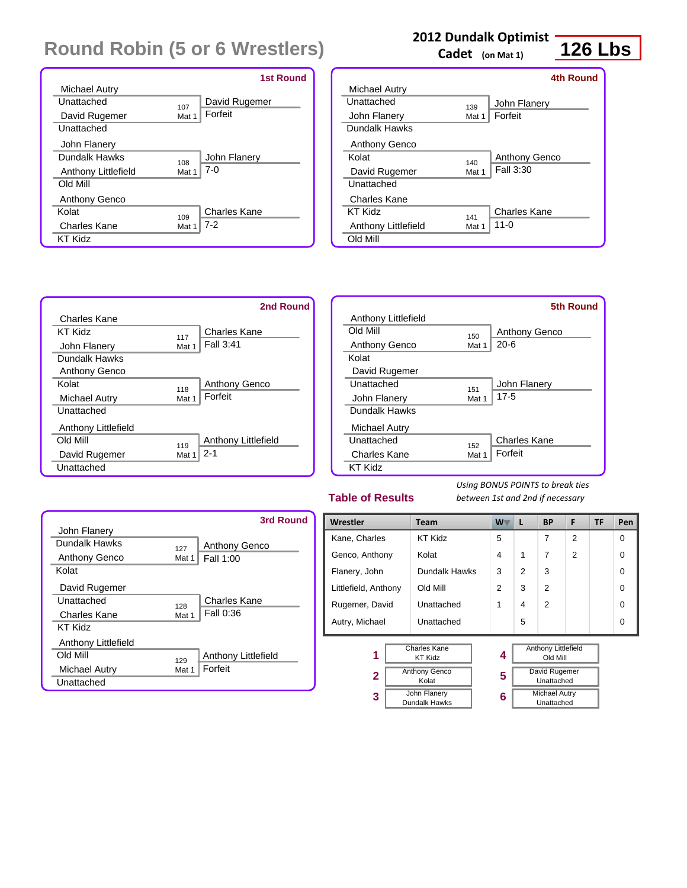|                      |       | <b>1st Round</b> |
|----------------------|-------|------------------|
| Michael Autry        |       |                  |
| Unattached           | 107   | David Rugemer    |
| David Rugemer        | Mat 1 | Forfeit          |
| Unattached           |       |                  |
| John Flanery         |       |                  |
| Dundalk Hawks        | 108   | John Flanery     |
| Anthony Littlefield  | Mat 1 | $7-0$            |
| Old Mill             |       |                  |
| <b>Anthony Genco</b> |       |                  |
| Kolat                | 109   | Charles Kane     |
| Charles Kane         | Mat 1 | $7-2$            |
| KT Kidz              |       |                  |

### **2012 Dundalk Optimist**

**Cadet (on Mat 1)**

## **126 Lbs**

|                      |       | 4th Round            |
|----------------------|-------|----------------------|
| <b>Michael Autry</b> |       |                      |
| Unattached           | 139   | John Flanery         |
| John Flanery         | Mat 1 | Forfeit              |
| Dundalk Hawks        |       |                      |
| Anthony Genco        |       |                      |
| Kolat                | 140   | <b>Anthony Genco</b> |
| David Rugemer        | Mat 1 | Fall 3:30            |
| Unattached           |       |                      |
| Charles Kane         |       |                      |
| <b>KT Kidz</b>       | 141   | Charles Kane         |
| Anthony Littlefield  | Mat 1 | $11 - 0$             |
| Old Mill             |       |                      |
|                      |       |                      |



|                                         | <b>5th Round</b> |
|-----------------------------------------|------------------|
| Anthony Littlefield                     |                  |
| Old Mill<br><b>Anthony Genco</b><br>150 |                  |
| $20 - 6$<br>Anthony Genco<br>Mat 1      |                  |
| Kolat                                   |                  |
| David Rugemer                           |                  |
| Unattached<br>John Flanery<br>151       |                  |
| $17 - 5$<br>John Flanery<br>Mat 1       |                  |
| Dundalk Hawks                           |                  |
| Michael Autry                           |                  |
| Unattached<br>Charles Kane<br>152       |                  |
| Forfeit<br>Charles Kane<br>Mat 1        |                  |
| KT Kidz                                 |                  |

### **Table of Results**

|                     |       | 3rd Round           |
|---------------------|-------|---------------------|
| John Flanery        |       |                     |
| Dundalk Hawks       | 127   | Anthony Genco       |
| Anthony Genco       | Mat 1 | Fall 1:00           |
| Kolat               |       |                     |
| David Rugemer       |       |                     |
| Unattached          | 128   | <b>Charles Kane</b> |
| Charles Kane        | Mat 1 | Fall 0:36           |
| <b>KT Kidz</b>      |       |                     |
| Anthony Littlefield |       |                     |
| <b>Old Mill</b>     | 129   | Anthony Littlefield |
| Michael Autry       | Mat 1 | Forfeit             |
| Unattached          |       |                     |

| Wrestler                |                                        | Team          | W. | L                                      | <b>BP</b>                          | F              | TF | Pen      |
|-------------------------|----------------------------------------|---------------|----|----------------------------------------|------------------------------------|----------------|----|----------|
| Kane, Charles           |                                        | KT Kidz       | 5  |                                        | 7                                  | $\overline{2}$ |    | $\Omega$ |
| Genco, Anthony          |                                        | Kolat         | 4  | 1                                      | 7                                  | $\overline{2}$ |    | $\Omega$ |
| Flanery, John           |                                        | Dundalk Hawks | 3  | $\mathfrak{p}$                         | 3                                  |                |    | $\Omega$ |
| Littlefield, Anthony    |                                        | Old Mill      | 2  | 3                                      | 2                                  |                |    | $\Omega$ |
| Rugemer, David          |                                        | Unattached    | 1  | 4                                      | 2                                  |                |    | $\Omega$ |
| Autry, Michael          |                                        | Unattached    |    | 5                                      |                                    |                |    | $\Omega$ |
| Charles Kane<br>1       |                                        | 4             |    | <b>Anthony Littlefield</b><br>Old Mill |                                    |                |    |          |
|                         | <b>KT Kidz</b><br><b>Anthony Genco</b> |               |    |                                        | David Rugemer                      |                |    |          |
| $\overline{\mathbf{2}}$ | Kolat                                  |               | 5  |                                        | Unattached                         |                |    |          |
| 3                       | John Flanery<br>Dundalk Hawks          |               | 6  |                                        | <b>Michael Autry</b><br>Unattached |                |    |          |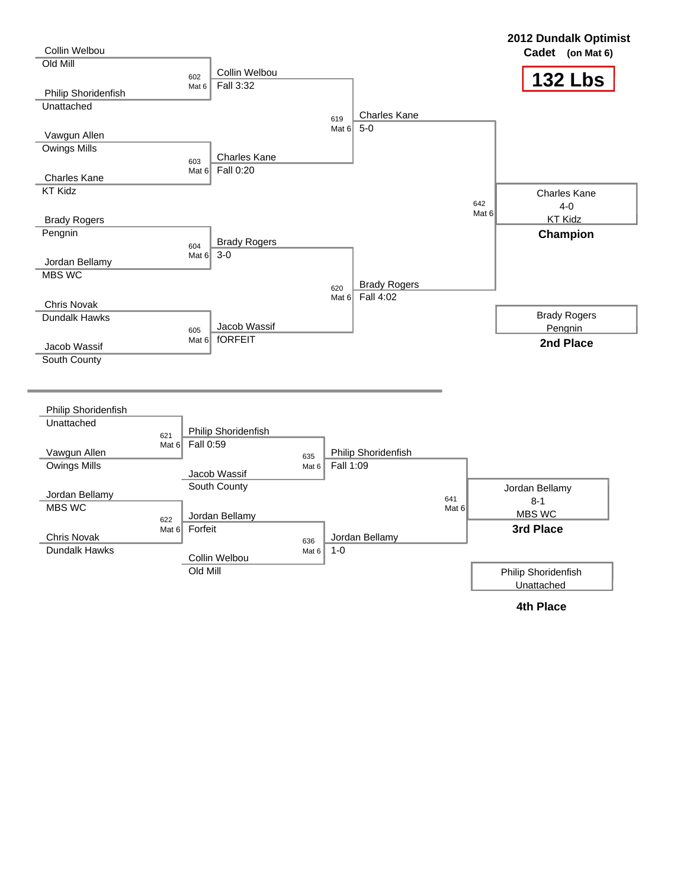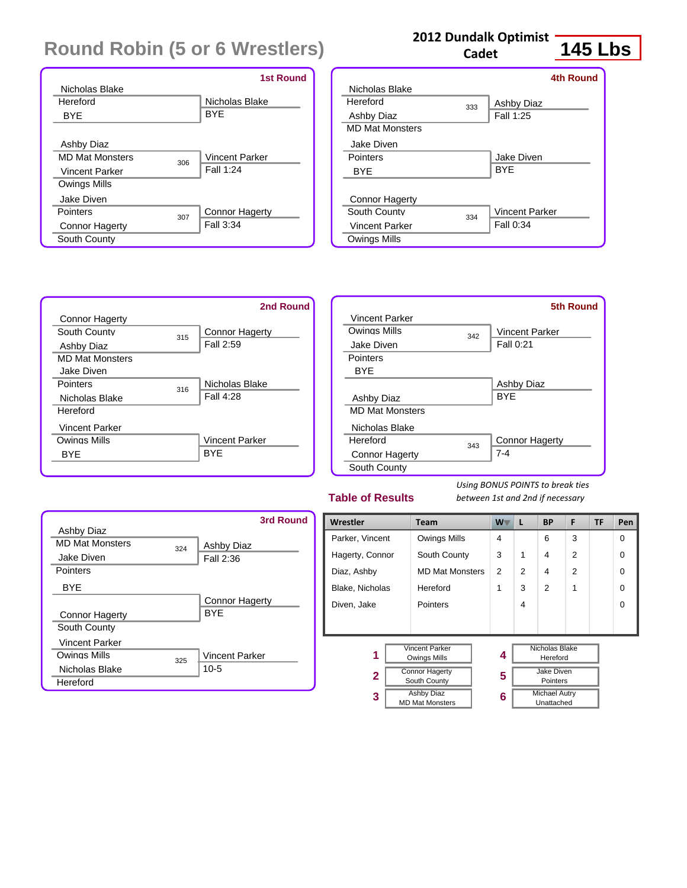|                               | <b>1st Round</b>      |
|-------------------------------|-----------------------|
| Nicholas Blake                |                       |
| Hereford                      | Nicholas Blake        |
| BYE                           | <b>BYE</b>            |
|                               |                       |
| Ashby Diaz                    |                       |
| <b>MD Mat Monsters</b><br>306 | Vincent Parker        |
| <b>Vincent Parker</b>         | Fall 1:24             |
| Owings Mills                  |                       |
| Jake Diven                    |                       |
| Pointers<br>307               | <b>Connor Hagerty</b> |
| <b>Connor Hagerty</b>         | Fall 3:34             |
| South County                  |                       |

### **2012 Dundalk Optimist**

**Cadet**

# **145 Lbs**

|                        |     | 4th Round             |
|------------------------|-----|-----------------------|
| Nicholas Blake         |     |                       |
| Hereford               | 333 | Ashby Diaz            |
| Ashby Diaz             |     | Fall 1:25             |
| <b>MD Mat Monsters</b> |     |                       |
| Jake Diven             |     |                       |
| Pointers               |     | Jake Diven            |
| BYE                    |     | <b>BYF</b>            |
|                        |     |                       |
| <b>Connor Hagerty</b>  |     |                       |
| South County           | 334 | <b>Vincent Parker</b> |
| Vincent Parker         |     | Fall 0:34             |
| Owings Mills           |     |                       |
|                        |     |                       |



|                        |     | <b>5th Round</b>      |
|------------------------|-----|-----------------------|
| Vincent Parker         |     |                       |
| Owings Mills           | 342 | <b>Vincent Parker</b> |
| Jake Diven             |     | Fall 0:21             |
| <b>Pointers</b>        |     |                       |
| <b>BYF</b>             |     |                       |
|                        |     | Ashby Diaz            |
| Ashby Diaz             |     | <b>BYF</b>            |
| <b>MD Mat Monsters</b> |     |                       |
| Nicholas Blake         |     |                       |
| Hereford               | 343 | <b>Connor Hagerty</b> |
| <b>Connor Hagerty</b>  |     | $7 - 4$               |
| South County           |     |                       |

### **Table of Results**

|                        |     | 3rd Round             |
|------------------------|-----|-----------------------|
| <b>Ashby Diaz</b>      |     |                       |
| <b>MD Mat Monsters</b> | 324 | Ashby Diaz            |
| Jake Diven             |     | Fall 2:36             |
| Pointers               |     |                       |
| <b>BYF</b>             |     |                       |
|                        |     | <b>Connor Hagerty</b> |
| <b>Connor Hagerty</b>  |     | <b>BYF</b>            |
| South County           |     |                       |
| Vincent Parker         |     |                       |
| Owings Mills           | 325 | <b>Vincent Parker</b> |
| Nicholas Blake         |     | $10-5$                |
| Hereford               |     |                       |

| Wrestler                                              | <b>Team</b>                                 | <b>W</b> | L            | <b>BP</b>                          | F              | TF | Pen      |
|-------------------------------------------------------|---------------------------------------------|----------|--------------|------------------------------------|----------------|----|----------|
| Parker, Vincent                                       | Owings Mills                                | 4        |              | 6                                  | 3              |    | $\Omega$ |
| Hagerty, Connor                                       | South County                                | 3        | $\mathbf{1}$ | 4                                  | $\overline{2}$ |    | $\Omega$ |
| Diaz, Ashby                                           | <b>MD Mat Monsters</b>                      | 2        | 2            | 4                                  | $\overline{2}$ |    | $\Omega$ |
| Blake, Nicholas                                       | Hereford                                    | 1        | 3            | $\mathfrak{p}$                     | 1              |    | $\Omega$ |
| Diven, Jake                                           | <b>Pointers</b>                             |          | 4            |                                    |                |    | $\Omega$ |
|                                                       |                                             |          |              |                                    |                |    |          |
| <b>Vincent Parker</b><br>1<br>Owings Mills            |                                             | 4        |              | Nicholas Blake<br>Hereford         |                |    |          |
| <b>Connor Hagerty</b><br>$\mathbf{2}$<br>South County |                                             | 5        |              | Jake Diven<br>Pointers             |                |    |          |
| 3                                                     | <b>Ashby Diaz</b><br><b>MD Mat Monsters</b> |          |              | <b>Michael Autry</b><br>Unattached |                |    |          |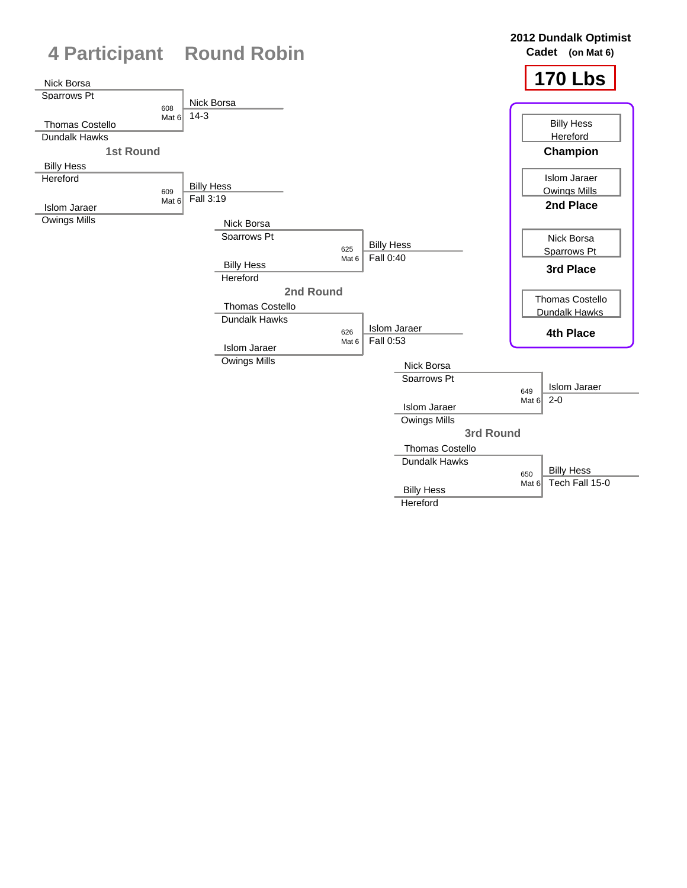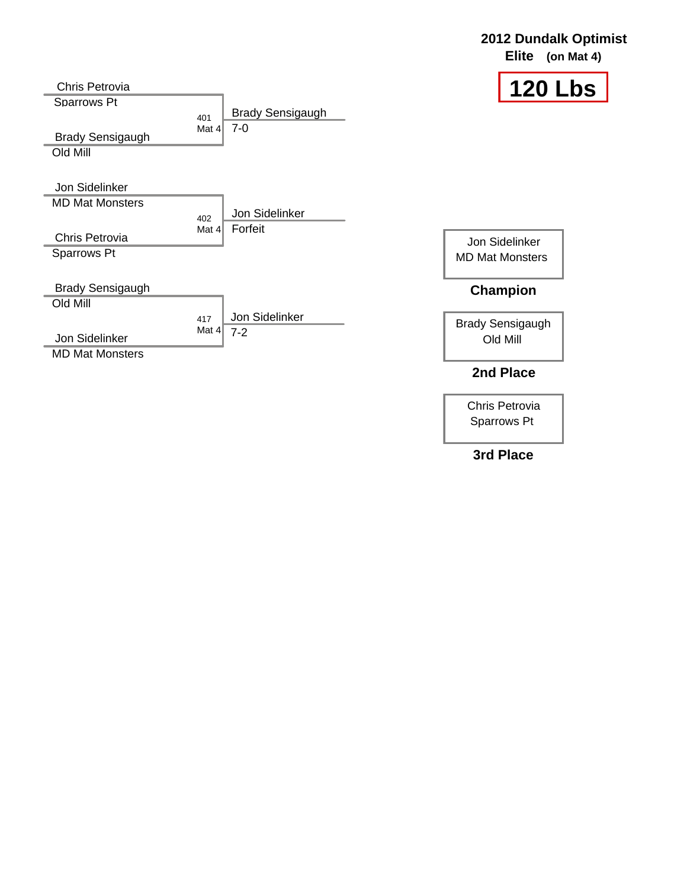#### **120 Lbs** Chris Petrovia Sparrows Pt 401 Mat 4 Brady Sensigaugh Old Mill Jon Sidelinker MD Mat Monsters 402 Chris Petrovia Sparrows Pt Brady Sensigaugh Old Mill 417 Mat 4 Jon Sidelinker MD Mat Monsters Brady Sensigaugh 7-0 Jon Sidelinker Mat 4 Forfeit Jon Sidelinker MD Mat Monsters Brady Sensigaugh Old Mill **Champion 2nd Place** Jon Sidelinker 7-2

Chris Petrovia Sparrows Pt

**2012 Dundalk Optimist Elite (on Mat 4)**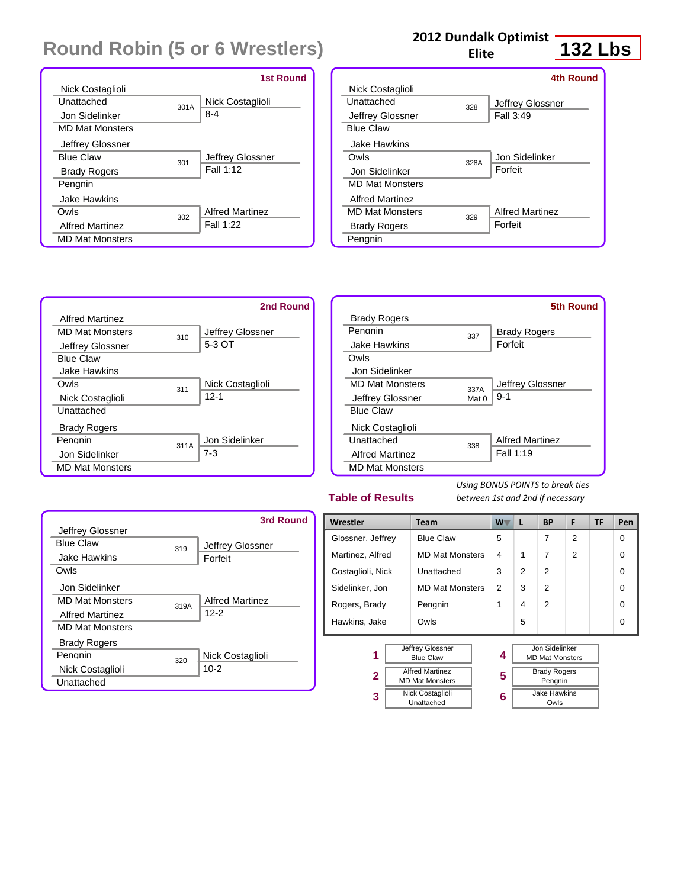|                        |      | <b>1st Round</b>       |
|------------------------|------|------------------------|
| Nick Costaglioli       |      |                        |
| Unattached             | 301A | Nick Costaglioli       |
| Jon Sidelinker         |      | $8 - 4$                |
| <b>MD Mat Monsters</b> |      |                        |
| Jeffrey Glossner       |      |                        |
| <b>Blue Claw</b>       | 301  | Jeffrey Glossner       |
| <b>Brady Rogers</b>    |      | Fall 1:12              |
| Pengnin                |      |                        |
| Jake Hawkins           |      |                        |
| Owls                   | 302  | <b>Alfred Martinez</b> |
| <b>Alfred Martinez</b> |      | Fall 1:22              |
| <b>MD Mat Monsters</b> |      |                        |

### **2012 Dundalk Optimist**

**Elite**

## **132 Lbs**

|                        |      | <b>4th Round</b>       |
|------------------------|------|------------------------|
| Nick Costaglioli       |      |                        |
| Unattached             | 328  | Jeffrey Glossner       |
| Jeffrey Glossner       |      | Fall 3:49              |
| <b>Blue Claw</b>       |      |                        |
| Jake Hawkins           |      |                        |
| Owls                   | 328A | Jon Sidelinker         |
| Jon Sidelinker         |      | Forfeit                |
| <b>MD Mat Monsters</b> |      |                        |
| Alfred Martinez        |      |                        |
| <b>MD Mat Monsters</b> | 329  | <b>Alfred Martinez</b> |
| <b>Brady Rogers</b>    |      | Forfeit                |
| Pengnin                |      |                        |



|                        |       | 5th Round              |
|------------------------|-------|------------------------|
| <b>Brady Rogers</b>    |       |                        |
| Penanin                | 337   | <b>Brady Rogers</b>    |
| Jake Hawkins           |       | Forfeit                |
| Owls                   |       |                        |
| Jon Sidelinker         |       |                        |
| <b>MD Mat Monsters</b> | 337A  | Jeffrey Glossner       |
| Jeffrey Glossner       | Mat 0 | $9 - 1$                |
| <b>Blue Claw</b>       |       |                        |
| Nick Costaglioli       |       |                        |
| Unattached             | 338   | <b>Alfred Martinez</b> |
| <b>Alfred Martinez</b> |       | Fall 1:19              |
| <b>MD Mat Monsters</b> |       |                        |

### **Table of Results**

**2 3** *Using BONUS POINTS to break ties between 1st and 2nd if necessary*

> Jake Hawkins Owls

Pengnin

|                        |      | 3rd Round              |
|------------------------|------|------------------------|
| Jeffrey Glossner       |      |                        |
| <b>Blue Claw</b>       | 319  | Jeffrey Glossner       |
| <b>Jake Hawkins</b>    |      | Forfeit                |
| Owls                   |      |                        |
| Jon Sidelinker         |      |                        |
| <b>MD Mat Monsters</b> | 319A | <b>Alfred Martinez</b> |
| <b>Alfred Martinez</b> |      | $12-2$                 |
| <b>MD Mat Monsters</b> |      |                        |
| <b>Brady Rogers</b>    |      |                        |
| Pengnin                | 320  | Nick Costaglioli       |
| Nick Costaglioli       |      | $10 - 2$               |
| Unattached             |      |                        |

| Wrestler          | <b>Team</b>            | $W^-$ | L | <b>BP</b>              | F              | <b>TF</b> | Pen      |
|-------------------|------------------------|-------|---|------------------------|----------------|-----------|----------|
| Glossner, Jeffrey | <b>Blue Claw</b>       | 5     |   | 7                      | 2              |           | $\Omega$ |
| Martinez, Alfred  | <b>MD Mat Monsters</b> | 4     | 1 | 7                      | $\overline{2}$ |           | $\Omega$ |
| Costaglioli, Nick | Unattached             | 3     | 2 | $\overline{2}$         |                |           | $\Omega$ |
| Sidelinker, Jon   | <b>MD Mat Monsters</b> | 2     | 3 | $\overline{2}$         |                |           | $\Omega$ |
| Rogers, Brady     | Pengnin                | 1     | 4 | $\overline{2}$         |                |           | $\Omega$ |
| Hawkins, Jake     | Owls                   |       | 5 |                        |                |           | $\Omega$ |
|                   |                        |       |   |                        |                |           |          |
|                   | Jeffrey Glossner       |       |   | Jon Sidelinker         |                |           |          |
| 1                 | <b>Blue Claw</b>       | 4     |   | <b>MD Mat Monsters</b> |                |           |          |
| ົ                 | <b>Alfred Martinez</b> | E     |   | <b>Brady Rogers</b>    |                |           |          |

**5 6**

MD Mat Monsters

Nick Costaglioli Unattached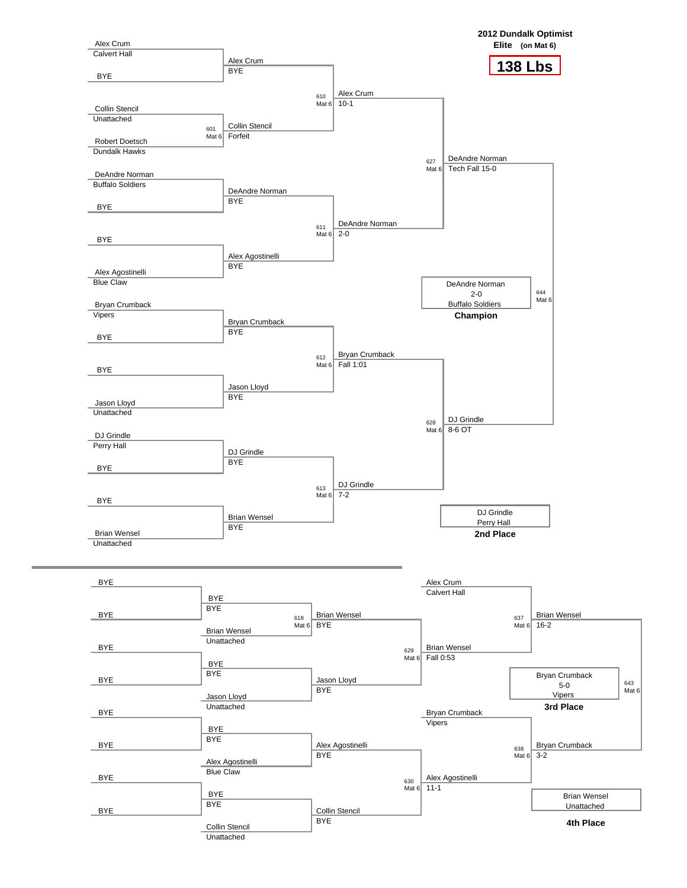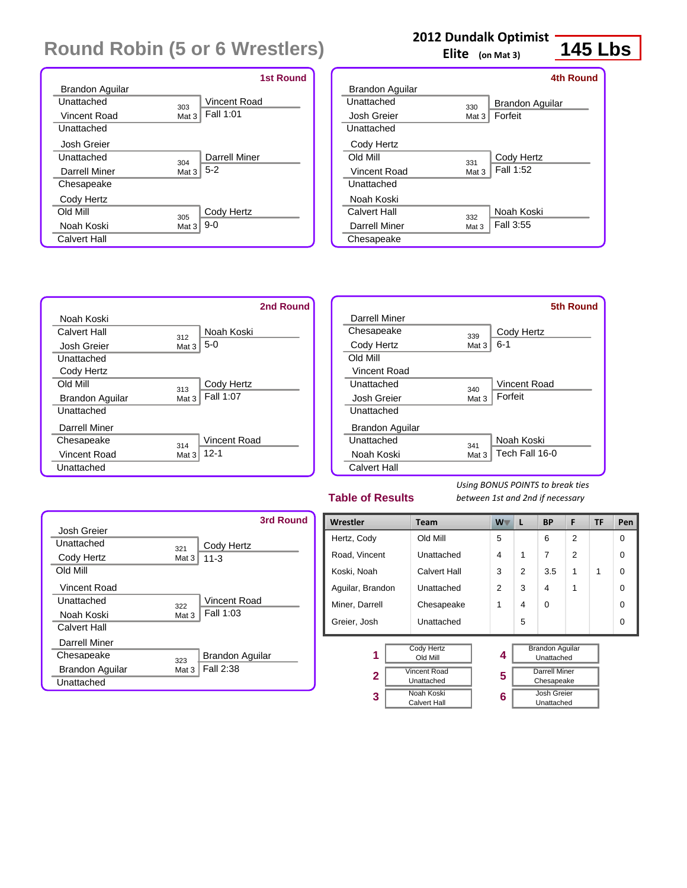|                 |       | <b>1st Round</b> |
|-----------------|-------|------------------|
| Brandon Aguilar |       |                  |
| Unattached      | 303   | Vincent Road     |
| Vincent Road    | Mat 3 | Fall 1:01        |
| Unattached      |       |                  |
| Josh Greier     |       |                  |
| Unattached      | 304   | Darrell Miner    |
| Darrell Miner   | Mat 3 | $5-2$            |
| Chesapeake      |       |                  |
| Cody Hertz      |       |                  |
| <b>Old Mill</b> | 305   | Cody Hertz       |
| Noah Koski      | Mat 3 | $9-0$            |
| Calvert Hall    |       |                  |

### **2012 Dundalk Optimist**

**Elite (on Mat 3)**

|                 |       | 4th Round              |
|-----------------|-------|------------------------|
| Brandon Aguilar |       |                        |
| Unattached      | 330   | <b>Brandon Aquilar</b> |
| Josh Greier     | Mat 3 | Forfeit                |
| Unattached      |       |                        |
| Cody Hertz      |       |                        |
| <b>Old Mill</b> | 331   | Cody Hertz             |
| Vincent Road    | Mat 3 | Fall 1:52              |
| Unattached      |       |                        |
| Noah Koski      |       |                        |
| Calvert Hall    | 332   | Noah Koski             |
| Darrell Miner   | Mat 3 | Fall 3:55              |
| Chesapeake      |       |                        |
|                 |       |                        |



### Chesapeake 339<br>Cody Hertz Mat 3 Unattached 340 Unattached 341 Cody Hertz 6-1 Vincent Road Mat 3 | Forfeit Noah Koski  $Mat 3$  Tech Fall 16-0 **5th Round**

### **Table of Results**

*Using BONUS POINTS to break ties between 1st and 2nd if necessary*

|                          | 3rd Round       |
|--------------------------|-----------------|
| Josh Greier              |                 |
| Unattached<br>321        | Cody Hertz      |
| Cody Hertz<br>Mat 3      | $11 - 3$        |
| Old Mill                 |                 |
| Vincent Road             |                 |
| Unattached<br>322        | Vincent Road    |
| Noah Koski<br>Mat 3      | Fall 1:03       |
| <b>Calvert Hall</b>      |                 |
| Darrell Miner            |                 |
| Chesapeake<br>323        | Brandon Aguilar |
| Brandon Aguilar<br>Mat 3 | Fall 2:38       |
| Unattached               |                 |

| Wrestler         | <b>Team</b>                       | $W^-$ | L | <b>BP</b>                            | F              | <b>TF</b> | Pen      |
|------------------|-----------------------------------|-------|---|--------------------------------------|----------------|-----------|----------|
| Hertz, Cody      | Old Mill                          | 5     |   | 6                                    | $\overline{2}$ |           | 0        |
| Road, Vincent    | Unattached                        | 4     | 1 | $\overline{7}$                       | $\overline{2}$ |           | $\Omega$ |
| Koski, Noah      | Calvert Hall                      | 3     | 2 | 3.5                                  | 1              | 1         | $\Omega$ |
| Aguilar, Brandon | Unattached                        | 2     | 3 | 4                                    | 1              |           | $\Omega$ |
| Miner, Darrell   | Chesapeake                        | 1     | 4 | $\Omega$                             |                |           | $\Omega$ |
| Greier, Josh     | Unattached                        |       | 5 |                                      |                |           | $\Omega$ |
| 1                | <b>Cody Hertz</b><br>Old Mill     | 4     |   | <b>Brandon Aquilar</b><br>Unattached |                |           |          |
| $\mathbf{2}$     | Vincent Road<br>Unattached        | 5     |   | <b>Darrell Miner</b><br>Chesapeake   |                |           |          |
| 3                | Noah Koski<br><b>Calvert Hall</b> | 6     |   | Josh Greier<br>Unattached            |                |           |          |

**145 Lbs**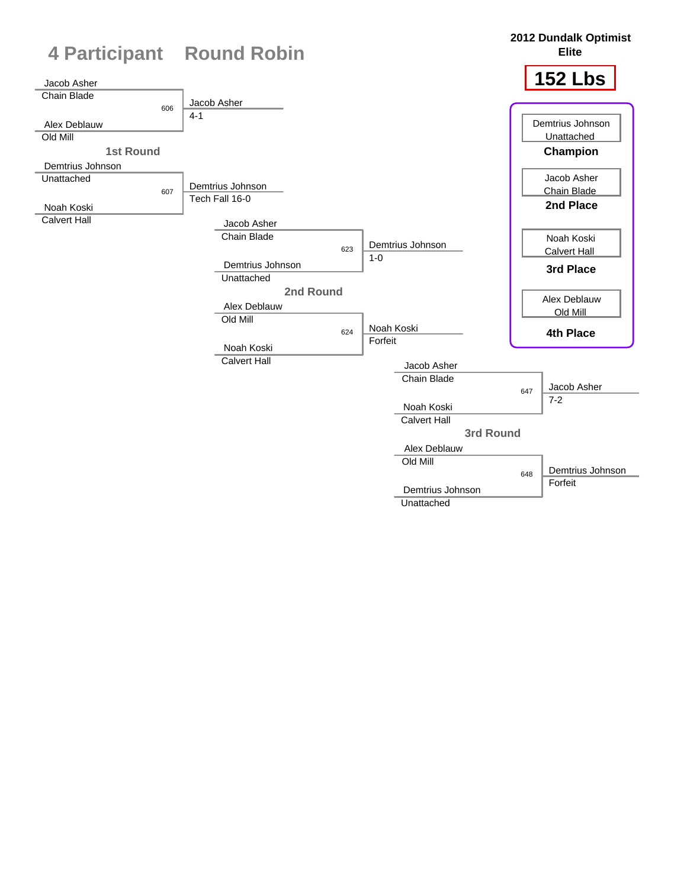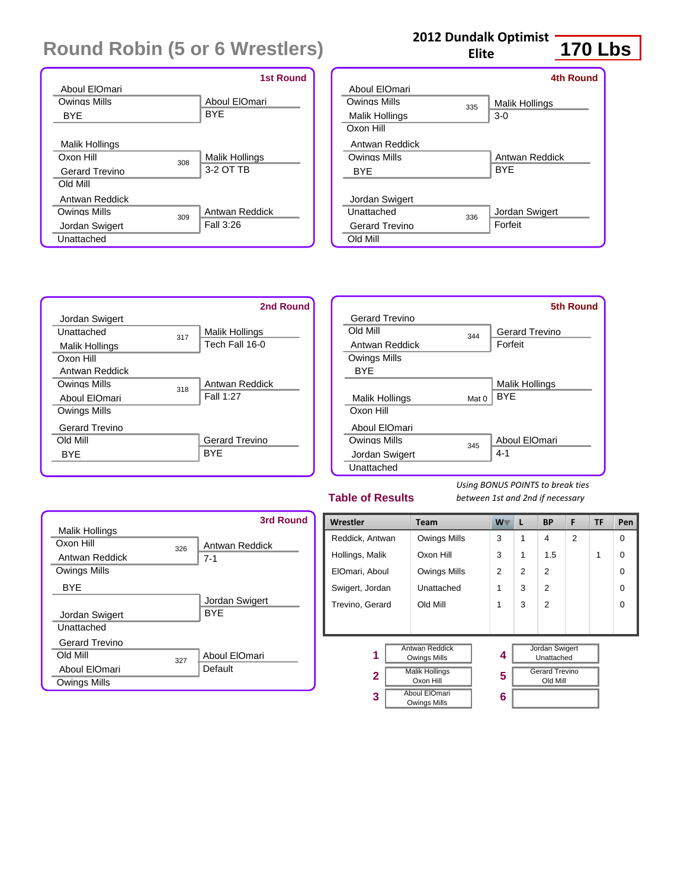|                       |     | <b>1st Round</b> |
|-----------------------|-----|------------------|
| Aboul ElOmari         |     |                  |
| Owings Mills          |     | Aboul ElOmari    |
| <b>BYE</b>            |     | <b>BYE</b>       |
|                       |     |                  |
| Malik Hollings        |     |                  |
| Oxon Hill             | 308 | Malik Hollings   |
| <b>Gerard Trevino</b> |     | 3-2 OT TB        |
| Old Mill              |     |                  |
| Antwan Reddick        |     |                  |
| Owings Mills          | 309 | Antwan Reddick   |
| Jordan Swigert        |     | Fall 3:26        |
| Unattached            |     |                  |

## **2012 Dundalk Optimist**

**Elite**

# **170 Lbs**

|                |     | 4th Round      |
|----------------|-----|----------------|
| Aboul ElOmari  |     |                |
| Owinas Mills   | 335 | Malik Hollings |
| Malik Hollings |     | $3-0$          |
| Oxon Hill      |     |                |
| Antwan Reddick |     |                |
| Owings Mills   |     | Antwan Reddick |
| <b>BYF</b>     |     | <b>BYF</b>     |
| Jordan Swigert |     |                |
| Unattached     | 336 | Jordan Swigert |
| Gerard Trevino |     | Forfeit        |
| Old Mill       |     |                |
|                |     |                |



|                |       | <b>5th Round</b>      |
|----------------|-------|-----------------------|
| Gerard Trevino |       |                       |
| Old Mill       | 344   | <b>Gerard Trevino</b> |
| Antwan Reddick |       | Forfeit               |
| Owings Mills   |       |                       |
| <b>BYF</b>     |       |                       |
|                |       | Malik Hollings        |
| Malik Hollings | Mat 0 | <b>BYF</b>            |
| Oxon Hill      |       |                       |
| Aboul ElOmari  |       |                       |
| Owings Mills   | 345   | Aboul ElOmari         |
| Jordan Swigert |       | $4 - 1$               |
| Unattached     |       |                       |

### **Table of Results**

| Malik Hollings        |     | 3rd Round      |
|-----------------------|-----|----------------|
| Oxon Hill             | 326 | Antwan Reddick |
| Antwan Reddick        |     | $7 - 1$        |
| Owings Mills          |     |                |
| <b>BYE</b>            |     |                |
|                       |     | Jordan Swigert |
| Jordan Swigert        |     | <b>BYF</b>     |
| Unattached            |     |                |
| <b>Gerard Trevino</b> |     |                |
| <b>Old Mill</b>       | 327 | Aboul ElOmari  |
| Aboul ElOmari         |     | Default        |
| Owings Mills          |     |                |

| Wrestler                                          | <b>Team</b>                          | W <sup>-</sup> | L | <b>BP</b>                           | F              | TF | Pen      |
|---------------------------------------------------|--------------------------------------|----------------|---|-------------------------------------|----------------|----|----------|
| Reddick, Antwan                                   | Owings Mills                         | 3              | 1 | 4                                   | $\overline{2}$ |    | 0        |
| Hollings, Malik                                   | Oxon Hill                            | 3              | 1 | 1.5                                 |                | 1  | $\Omega$ |
| ElOmari, Aboul                                    | Owings Mills                         | $\mathcal{P}$  | 2 | $\mathfrak{p}$                      |                |    | 0        |
| Swigert, Jordan                                   | Unattached                           | 1              | 3 | $\mathfrak{p}$                      |                |    | 0        |
| Trevino, Gerard                                   | Old Mill                             | 1              | 3 | $\overline{2}$                      |                |    | 0        |
|                                                   |                                      |                |   |                                     |                |    |          |
| <b>Antwan Reddick</b><br>1<br><b>Owings Mills</b> |                                      | 4              |   | <b>Jordan Swigert</b><br>Unattached |                |    |          |
| $\mathbf{2}$                                      | <b>Malik Hollings</b><br>Oxon Hill   |                |   | <b>Gerard Trevino</b><br>Old Mill   |                |    |          |
| 3                                                 | Aboul ElOmari<br><b>Owings Mills</b> | 6              |   |                                     |                |    |          |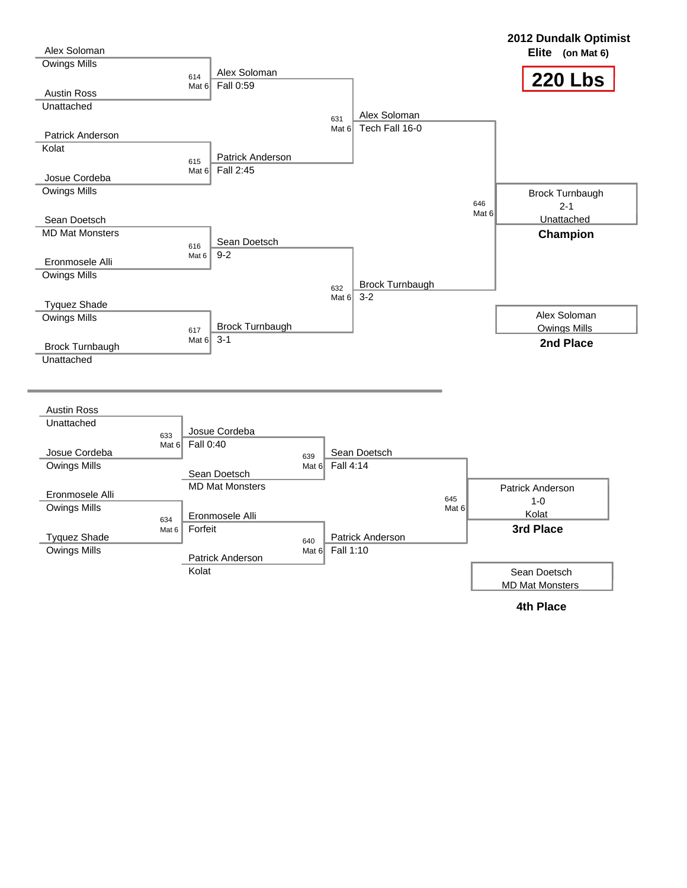

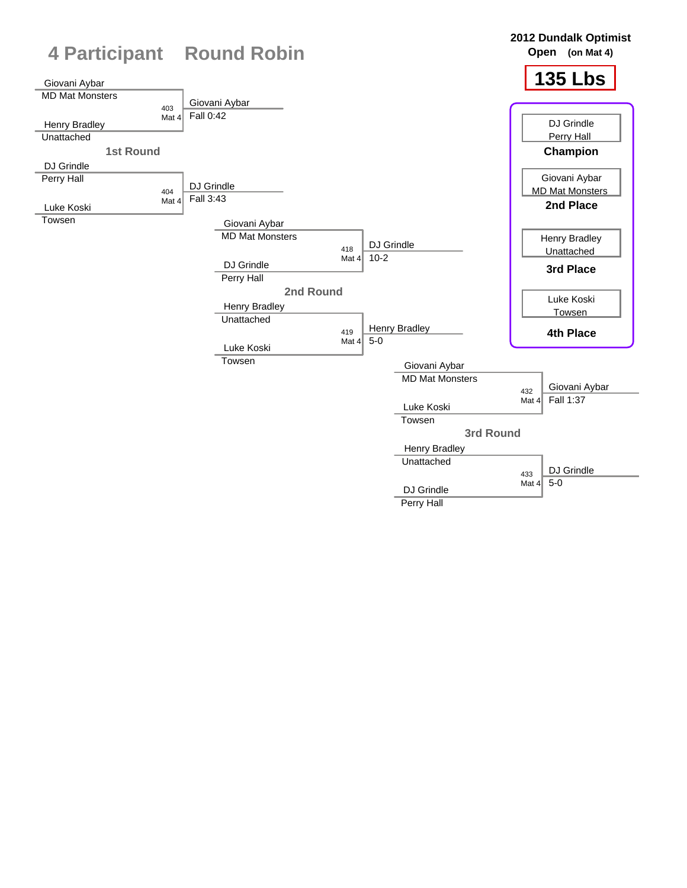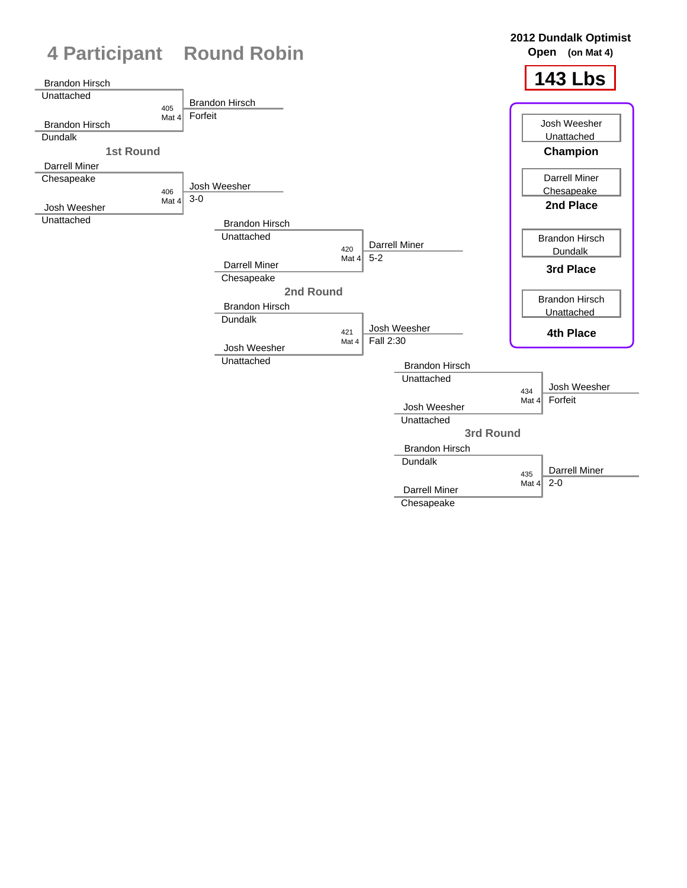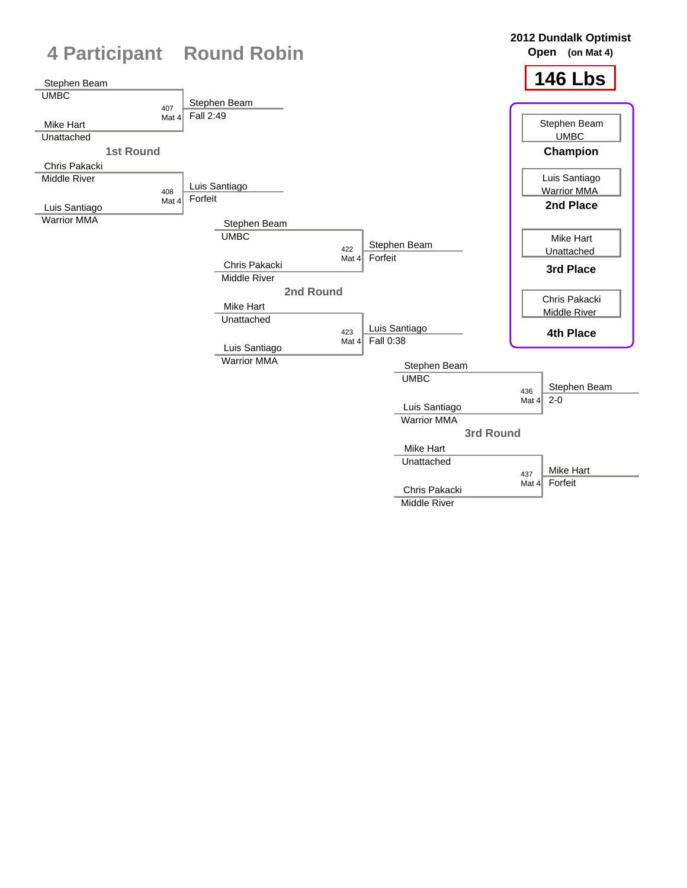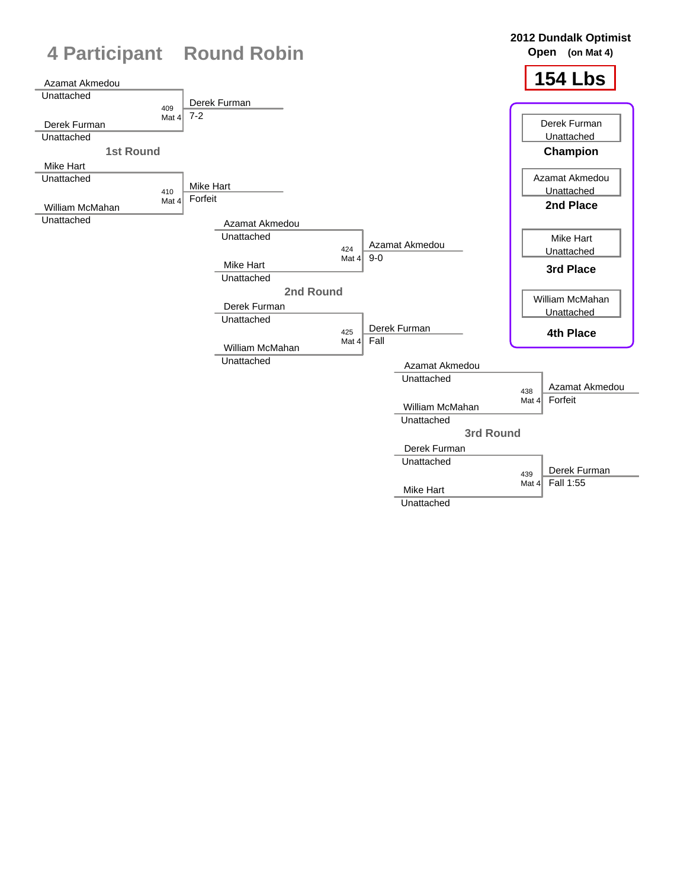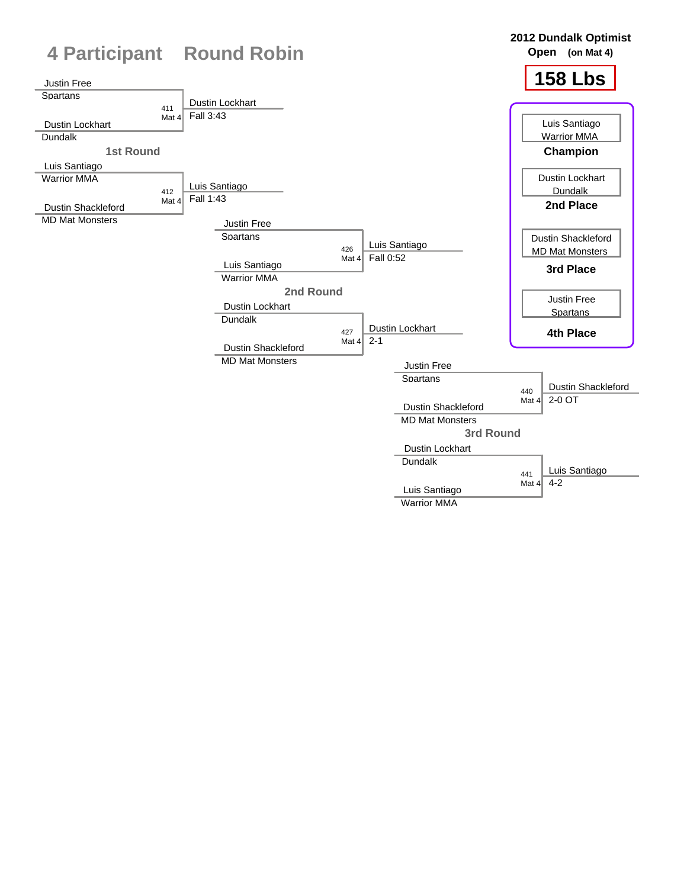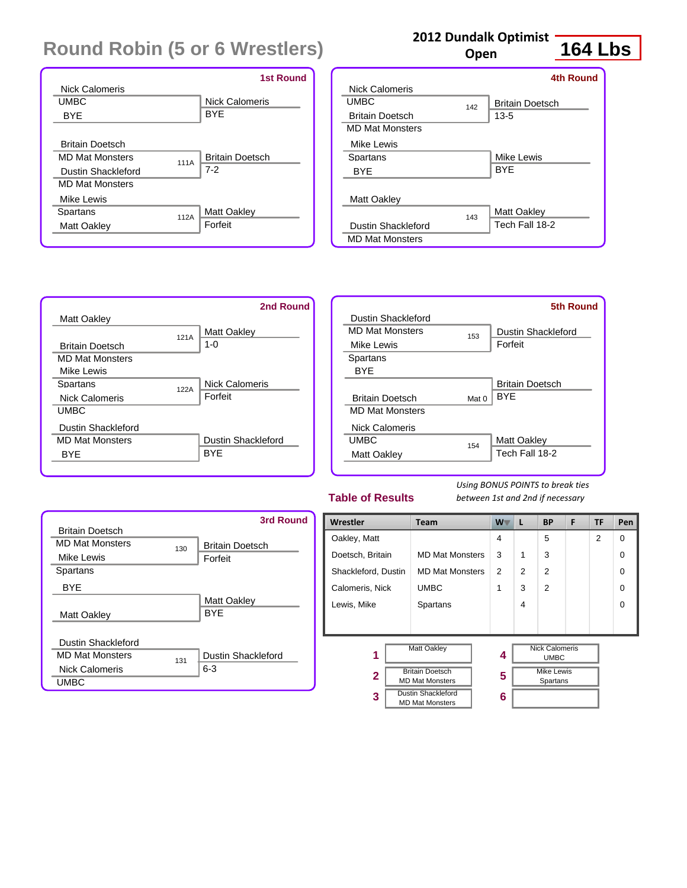|                        |      | <b>1st Round</b>       |
|------------------------|------|------------------------|
| Nick Calomeris         |      |                        |
| <b>UMBC</b>            |      | <b>Nick Calomeris</b>  |
| <b>BYF</b>             |      | <b>BYF</b>             |
|                        |      |                        |
| <b>Britain Doetsch</b> |      |                        |
| <b>MD Mat Monsters</b> | 111A | <b>Britain Doetsch</b> |
| Dustin Shackleford     |      | $7-2$                  |
| <b>MD Mat Monsters</b> |      |                        |
| Mike Lewis             |      |                        |
| Spartans               | 112A | Matt Oakley            |
| Matt Oakley            |      | Forfeit                |
|                        |      |                        |

### **2012 Dundalk Optimist**

**Open**

## **164 Lbs**

|                        |     | <b>4th Round</b>       |
|------------------------|-----|------------------------|
| Nick Calomeris         |     |                        |
| <b>UMBC</b>            | 142 | <b>Britain Doetsch</b> |
| <b>Britain Doetsch</b> |     | $13 - 5$               |
| <b>MD Mat Monsters</b> |     |                        |
| Mike Lewis             |     |                        |
| Spartans               |     | Mike Lewis             |
| <b>BYE</b>             |     | <b>BYE</b>             |
|                        |     |                        |
| <b>Matt Oakley</b>     |     |                        |
|                        | 143 | Matt Oakley            |
| Dustin Shackleford     |     | Tech Fall 18-2         |
| <b>MD Mat Monsters</b> |     |                        |



|                        |       | 5th Round              |
|------------------------|-------|------------------------|
| Dustin Shackleford     |       |                        |
| <b>MD Mat Monsters</b> | 153   | Dustin Shackleford     |
| Mike Lewis             |       | Forfeit                |
| Spartans               |       |                        |
| BYF                    |       |                        |
|                        |       | <b>Britain Doetsch</b> |
| <b>Britain Doetsch</b> | Mat 0 | <b>BYF</b>             |
| <b>MD Mat Monsters</b> |       |                        |
| <b>Nick Calomeris</b>  |       |                        |
| <b>UMBC</b>            | 154   | <b>Matt Oakley</b>     |
| Matt Oakley            |       | Tech Fall 18-2         |
|                        |       |                        |

### **Table of Results**

|                           |     | 3rd Round              |
|---------------------------|-----|------------------------|
| <b>Britain Doetsch</b>    |     |                        |
| <b>MD Mat Monsters</b>    | 130 | <b>Britain Doetsch</b> |
| Mike Lewis                |     | Forfeit                |
| Spartans                  |     |                        |
| <b>BYF</b>                |     |                        |
|                           |     | <b>Matt Oakley</b>     |
| Matt Oakley               |     | <b>BYF</b>             |
|                           |     |                        |
| <b>Dustin Shackleford</b> |     |                        |
| <b>MD Mat Monsters</b>    | 131 | Dustin Shackleford     |
| <b>Nick Calomeris</b>     |     | $6 - 3$                |
| <b>UMBC</b>               |     |                        |

| Wrestler                                                         | <b>Team</b>                                         | $W^-$ | L | <b>BP</b>                            | F | <b>TF</b> | Pen      |
|------------------------------------------------------------------|-----------------------------------------------------|-------|---|--------------------------------------|---|-----------|----------|
| Oakley, Matt                                                     |                                                     | 4     |   | 5                                    |   | 2         | $\Omega$ |
| Doetsch, Britain                                                 | <b>MD Mat Monsters</b>                              | 3     | 1 | 3                                    |   |           | $\Omega$ |
| <b>MD Mat Monsters</b><br>Shackleford, Dustin                    |                                                     | 2     | 2 | $\overline{2}$                       |   |           | $\Omega$ |
| Calomeris, Nick                                                  | <b>UMBC</b>                                         |       | 3 | $\mathfrak{p}$                       |   |           | $\Omega$ |
| Lewis, Mike                                                      | Spartans                                            |       | 4 |                                      |   |           | $\Omega$ |
|                                                                  |                                                     |       |   |                                      |   |           |          |
| 1                                                                | <b>Matt Oakley</b>                                  | 4     |   | <b>Nick Calomeris</b><br><b>UMBC</b> |   |           |          |
| <b>Britain Doetsch</b><br>$\mathbf{2}$<br><b>MD Mat Monsters</b> |                                                     | 5     |   | <b>Mike Lewis</b><br>Spartans        |   |           |          |
| 3                                                                | <b>Dustin Shackleford</b><br><b>MD Mat Monsters</b> | 6     |   |                                      |   |           |          |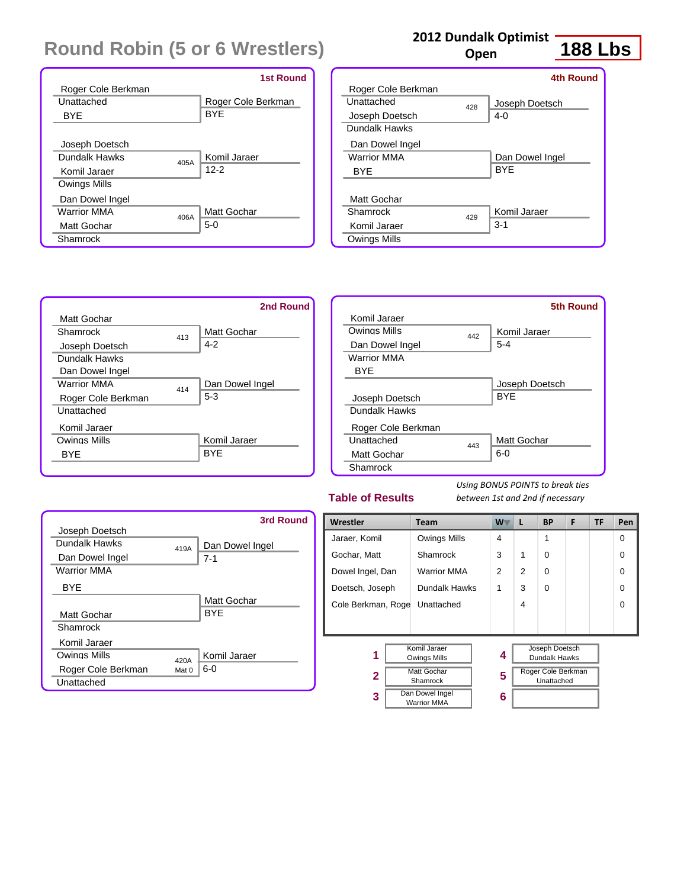|                            | <b>1st Round</b>   |
|----------------------------|--------------------|
| Roger Cole Berkman         |                    |
| Unattached                 | Roger Cole Berkman |
| <b>BYE</b>                 | <b>BYE</b>         |
|                            |                    |
| Joseph Doetsch             |                    |
| Dundalk Hawks<br>405A      | Komil Jaraer       |
| Komil Jaraer               | $12 - 2$           |
| Owings Mills               |                    |
| Dan Dowel Ingel            |                    |
| <b>Warrior MMA</b><br>406A | Matt Gochar        |
| Matt Gochar                | $5-0$              |
| Shamrock                   |                    |

### **2012 Dundalk Optimist**

**Open**

# **188 Lbs**

|                    |     | 4th Round       |
|--------------------|-----|-----------------|
| Roger Cole Berkman |     |                 |
| Unattached         | 428 | Joseph Doetsch  |
| Joseph Doetsch     |     | $4 - 0$         |
| Dundalk Hawks      |     |                 |
| Dan Dowel Ingel    |     |                 |
| <b>Warrior MMA</b> |     | Dan Dowel Ingel |
| <b>BYF</b>         |     | <b>BYF</b>      |
|                    |     |                 |
| Matt Gochar        |     |                 |
| Shamrock           | 429 | Komil Jaraer    |
| Komil Jaraer       |     | $3-1$           |
| Owings Mills       |     |                 |





### **Table of Results**

|                    |       | 3rd Round          |
|--------------------|-------|--------------------|
| Joseph Doetsch     |       |                    |
| Dundalk Hawks      | 419A  | Dan Dowel Ingel    |
| Dan Dowel Ingel    |       | $7 - 1$            |
| <b>Warrior MMA</b> |       |                    |
| <b>BYF</b>         |       |                    |
|                    |       | <b>Matt Gochar</b> |
| Matt Gochar        |       | <b>BYF</b>         |
| Shamrock           |       |                    |
| Komil Jaraer       |       |                    |
| Owings Mills       | 420A  | Komil Jaraer       |
| Roger Cole Berkman | Mat 0 | 6-0                |
| Unattached         |       |                    |

| Wrestler           | <b>Team</b>         |  | $W^-$          | L              | <b>BP</b>          | F | TF | Pen      |
|--------------------|---------------------|--|----------------|----------------|--------------------|---|----|----------|
| Jaraer, Komil      | Owings Mills        |  | 4              |                | 1                  |   |    | $\Omega$ |
| Gochar, Matt       | Shamrock            |  | 3              | 1              | $\Omega$           |   |    | $\Omega$ |
| Dowel Ingel, Dan   | <b>Warrior MMA</b>  |  | $\overline{2}$ | $\mathfrak{p}$ | $\Omega$           |   |    | $\Omega$ |
| Doetsch, Joseph    | Dundalk Hawks       |  | 1              | 3              | $\Omega$           |   |    | $\Omega$ |
| Cole Berkman, Roge | Unattached          |  |                | 4              |                    |   |    | $\Omega$ |
|                    |                     |  |                |                |                    |   |    |          |
|                    |                     |  |                |                |                    |   |    |          |
|                    | Komil Jaraer        |  |                |                | Joseph Doetsch     |   |    |          |
| 1                  | <b>Owings Mills</b> |  | 4              |                | Dundalk Hawks      |   |    |          |
| $\mathbf{2}$       | <b>Matt Gochar</b>  |  | 5              |                | Roger Cole Berkman |   |    |          |
|                    | Shamrock            |  |                |                | Unattached         |   |    |          |
| 3                  | Dan Dowel Ingel     |  | 6              |                |                    |   |    |          |
|                    | <b>Warrior MMA</b>  |  |                |                |                    |   |    |          |